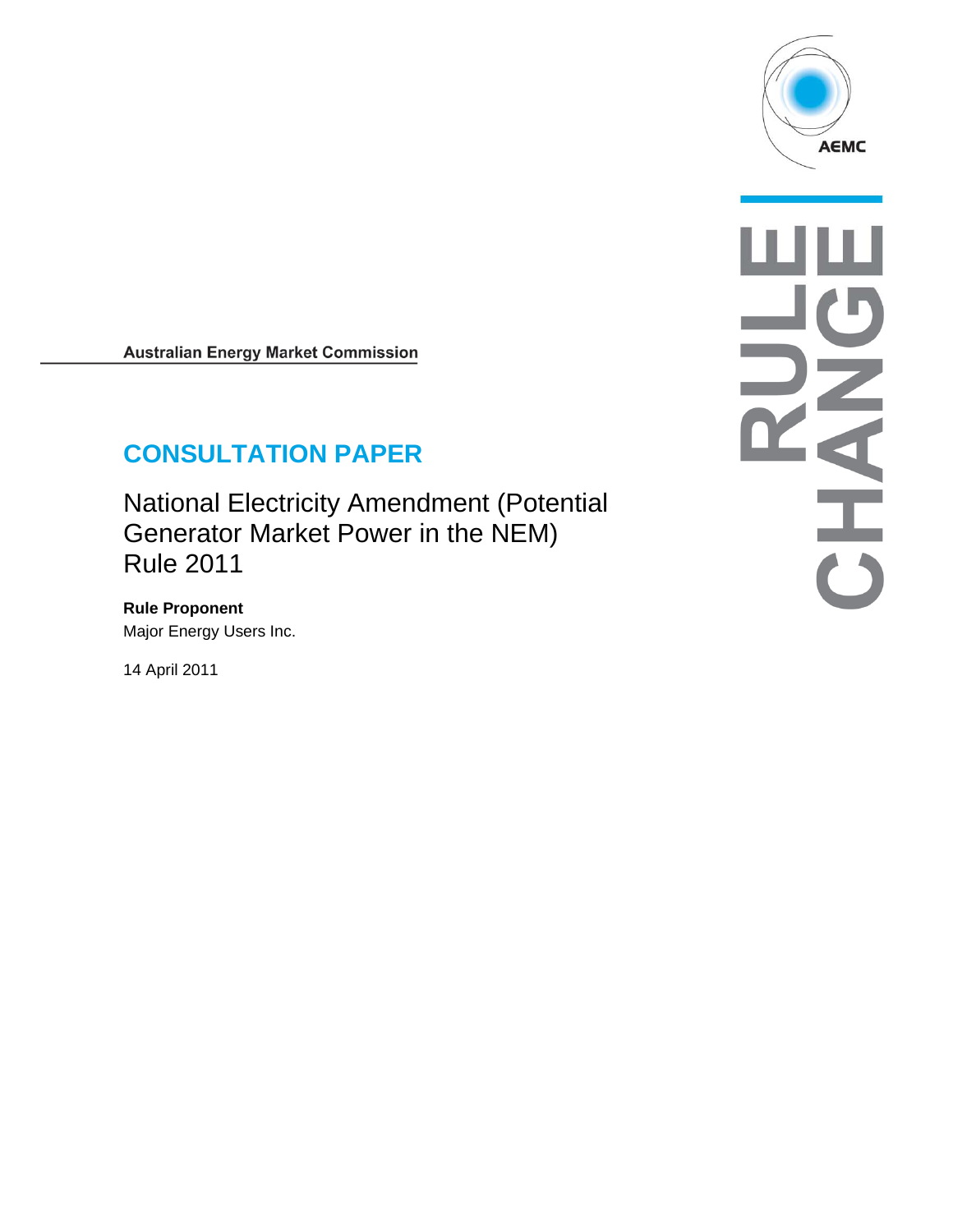

**Australian Energy Market Commission** 

# **CONSULTATION PAPER**

National Electricity Amendment (Potential Generator Market Power in the NEM) Rule 2011

**Rule Proponent**  Major Energy Users Inc.

14 April 2011

NNH て<br>この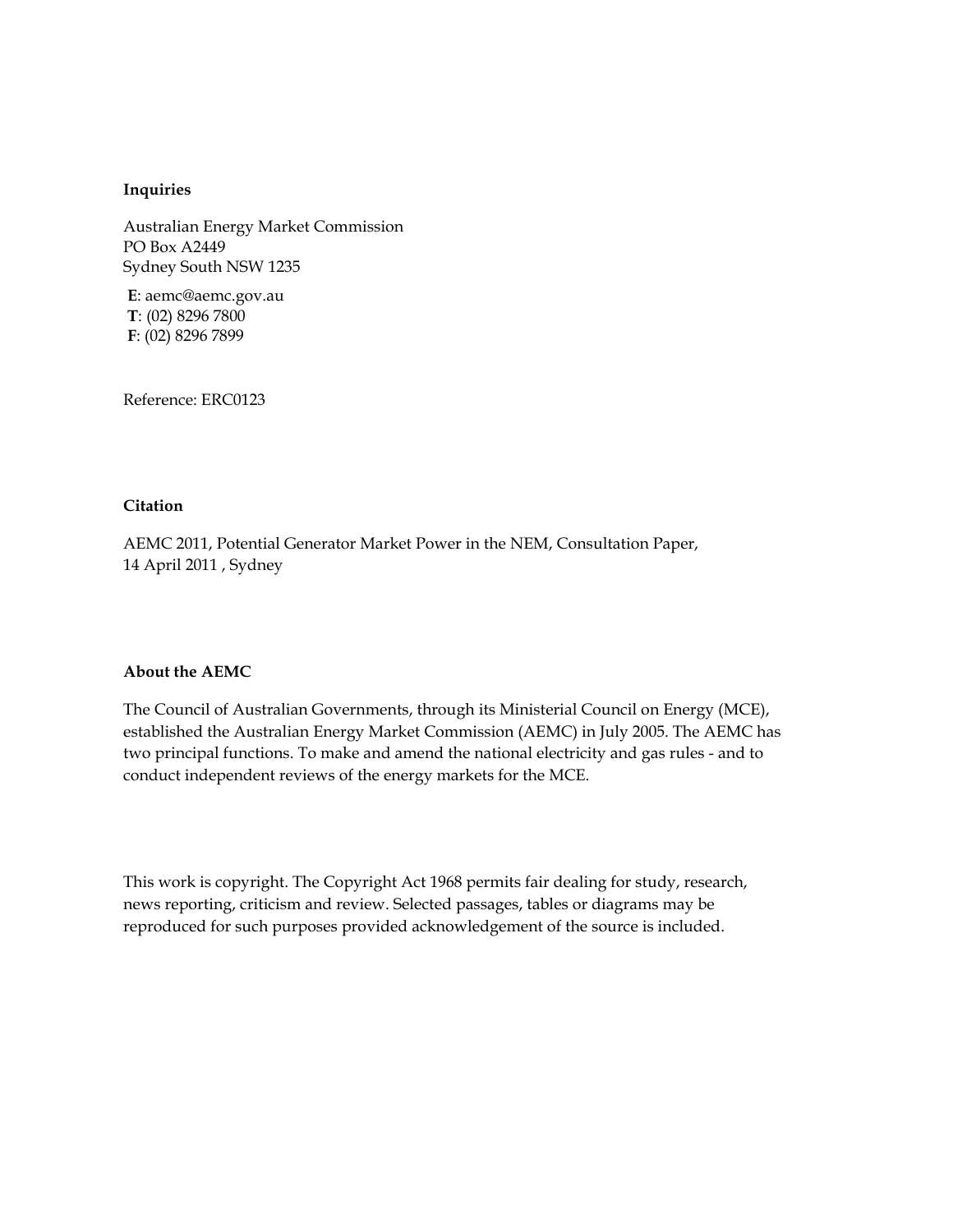#### **Inquiries**

Australian Energy Market Commission PO Box A2449 Sydney South NSW 1235

**E**: aemc@aemc.gov.au **T**: (02) 8296 7800 **F**: (02) 8296 7899

Reference: ERC0123

#### **Citation**

AEMC 2011, Potential Generator Market Power in the NEM, Consultation Paper, 14 April 2011 , Sydney

#### **About the AEMC**

The Council of Australian Governments, through its Ministerial Council on Energy (MCE), established the Australian Energy Market Commission (AEMC) in July 2005. The AEMC has two principal functions. To make and amend the national electricity and gas rules - and to conduct independent reviews of the energy markets for the MCE.

This work is copyright. The Copyright Act 1968 permits fair dealing for study, research, news reporting, criticism and review. Selected passages, tables or diagrams may be reproduced for such purposes provided acknowledgement of the source is included.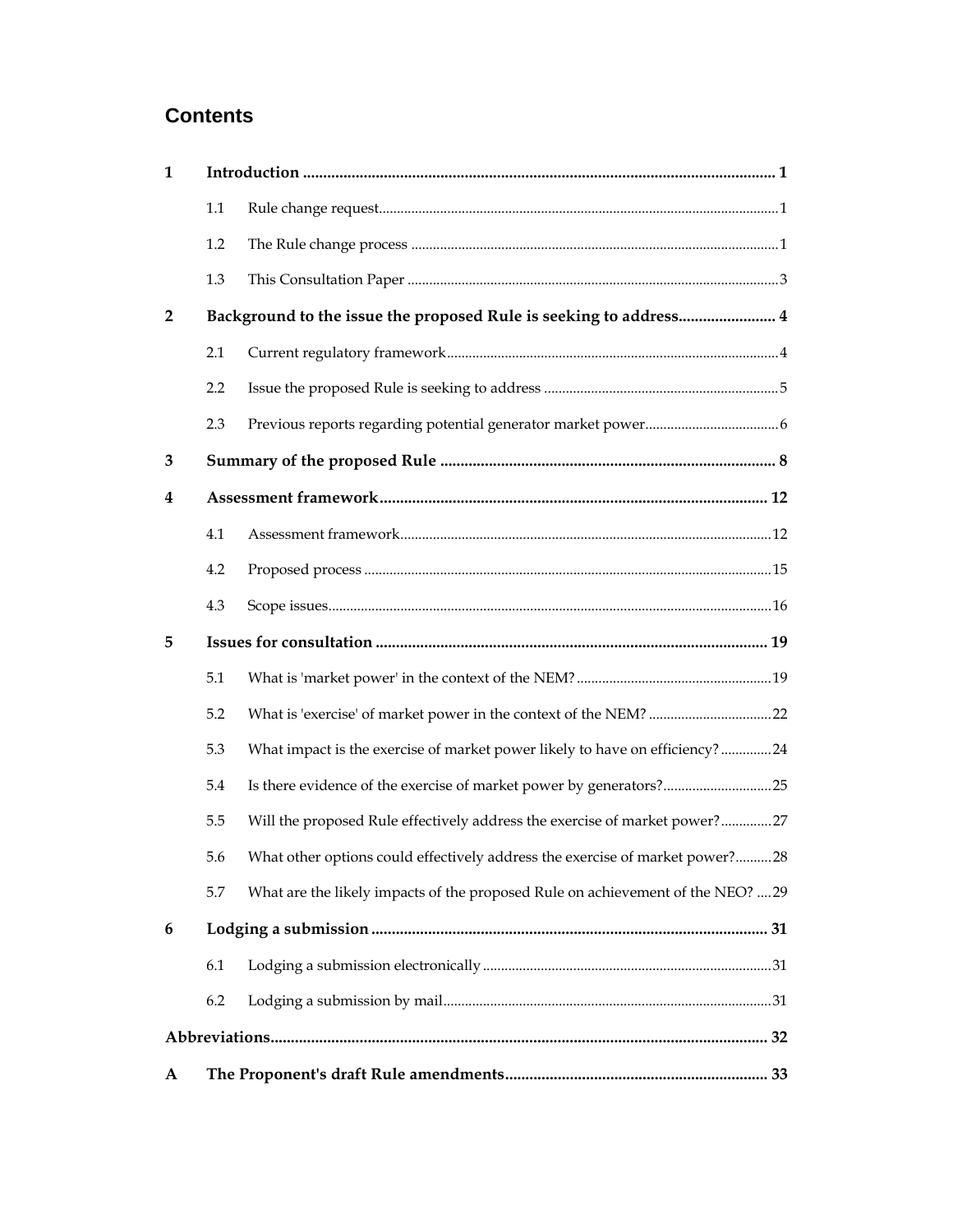## **Contents**

| 1              |                                                                   |                                                                                |  |  |  |  |
|----------------|-------------------------------------------------------------------|--------------------------------------------------------------------------------|--|--|--|--|
|                | 1.1                                                               |                                                                                |  |  |  |  |
|                | 1.2                                                               |                                                                                |  |  |  |  |
|                | 1.3                                                               |                                                                                |  |  |  |  |
| $\overline{2}$ | Background to the issue the proposed Rule is seeking to address 4 |                                                                                |  |  |  |  |
|                | 2.1                                                               |                                                                                |  |  |  |  |
|                | 2.2                                                               |                                                                                |  |  |  |  |
|                | 2.3                                                               |                                                                                |  |  |  |  |
| 3              |                                                                   |                                                                                |  |  |  |  |
| 4              |                                                                   |                                                                                |  |  |  |  |
|                | 4.1                                                               |                                                                                |  |  |  |  |
|                | 4.2                                                               |                                                                                |  |  |  |  |
|                | 4.3                                                               |                                                                                |  |  |  |  |
| 5              |                                                                   |                                                                                |  |  |  |  |
|                | 5.1                                                               |                                                                                |  |  |  |  |
|                | 5.2                                                               |                                                                                |  |  |  |  |
|                | 5.3                                                               | What impact is the exercise of market power likely to have on efficiency?24    |  |  |  |  |
|                | 5.4                                                               | Is there evidence of the exercise of market power by generators?25             |  |  |  |  |
|                | 5.5                                                               | Will the proposed Rule effectively address the exercise of market power?27     |  |  |  |  |
|                | 5.6.                                                              | What other options could effectively address the exercise of market power?28   |  |  |  |  |
|                | 5.7                                                               | What are the likely impacts of the proposed Rule on achievement of the NEO? 29 |  |  |  |  |
| 6              |                                                                   |                                                                                |  |  |  |  |
|                | 6.1                                                               |                                                                                |  |  |  |  |
|                | 6.2                                                               |                                                                                |  |  |  |  |
|                |                                                                   |                                                                                |  |  |  |  |
| A              |                                                                   |                                                                                |  |  |  |  |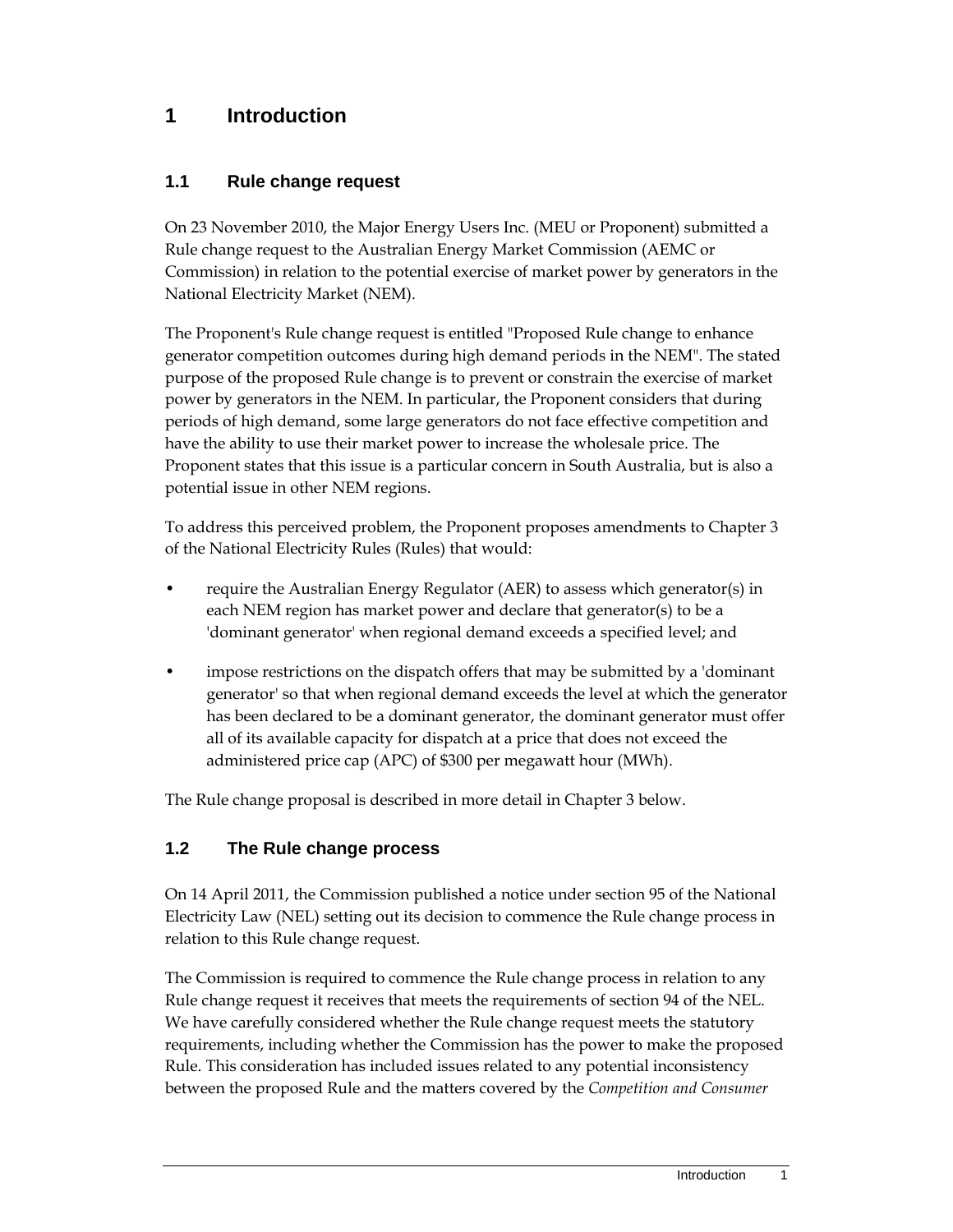## **1 Introduction**

## **1.1 Rule change request**

On 23 November 2010, the Major Energy Users Inc. (MEU or Proponent) submitted a Rule change request to the Australian Energy Market Commission (AEMC or Commission) in relation to the potential exercise of market power by generators in the National Electricity Market (NEM).

The Proponent's Rule change request is entitled "Proposed Rule change to enhance generator competition outcomes during high demand periods in the NEM". The stated purpose of the proposed Rule change is to prevent or constrain the exercise of market power by generators in the NEM. In particular, the Proponent considers that during periods of high demand, some large generators do not face effective competition and have the ability to use their market power to increase the wholesale price. The Proponent states that this issue is a particular concern in South Australia, but is also a potential issue in other NEM regions.

To address this perceived problem, the Proponent proposes amendments to Chapter 3 of the National Electricity Rules (Rules) that would:

- require the Australian Energy Regulator (AER) to assess which generator(s) in each NEM region has market power and declare that generator(s) to be a 'dominant generator' when regional demand exceeds a specified level; and
- impose restrictions on the dispatch offers that may be submitted by a 'dominant' generator' so that when regional demand exceeds the level at which the generator has been declared to be a dominant generator, the dominant generator must offer all of its available capacity for dispatch at a price that does not exceed the administered price cap (APC) of \$300 per megawatt hour (MWh).

The Rule change proposal is described in more detail in Chapter 3 below.

## **1.2 The Rule change process**

On 14 April 2011, the Commission published a notice under section 95 of the National Electricity Law (NEL) setting out its decision to commence the Rule change process in relation to this Rule change request.

The Commission is required to commence the Rule change process in relation to any Rule change request it receives that meets the requirements of section 94 of the NEL. We have carefully considered whether the Rule change request meets the statutory requirements, including whether the Commission has the power to make the proposed Rule. This consideration has included issues related to any potential inconsistency between the proposed Rule and the matters covered by the *Competition and Consumer*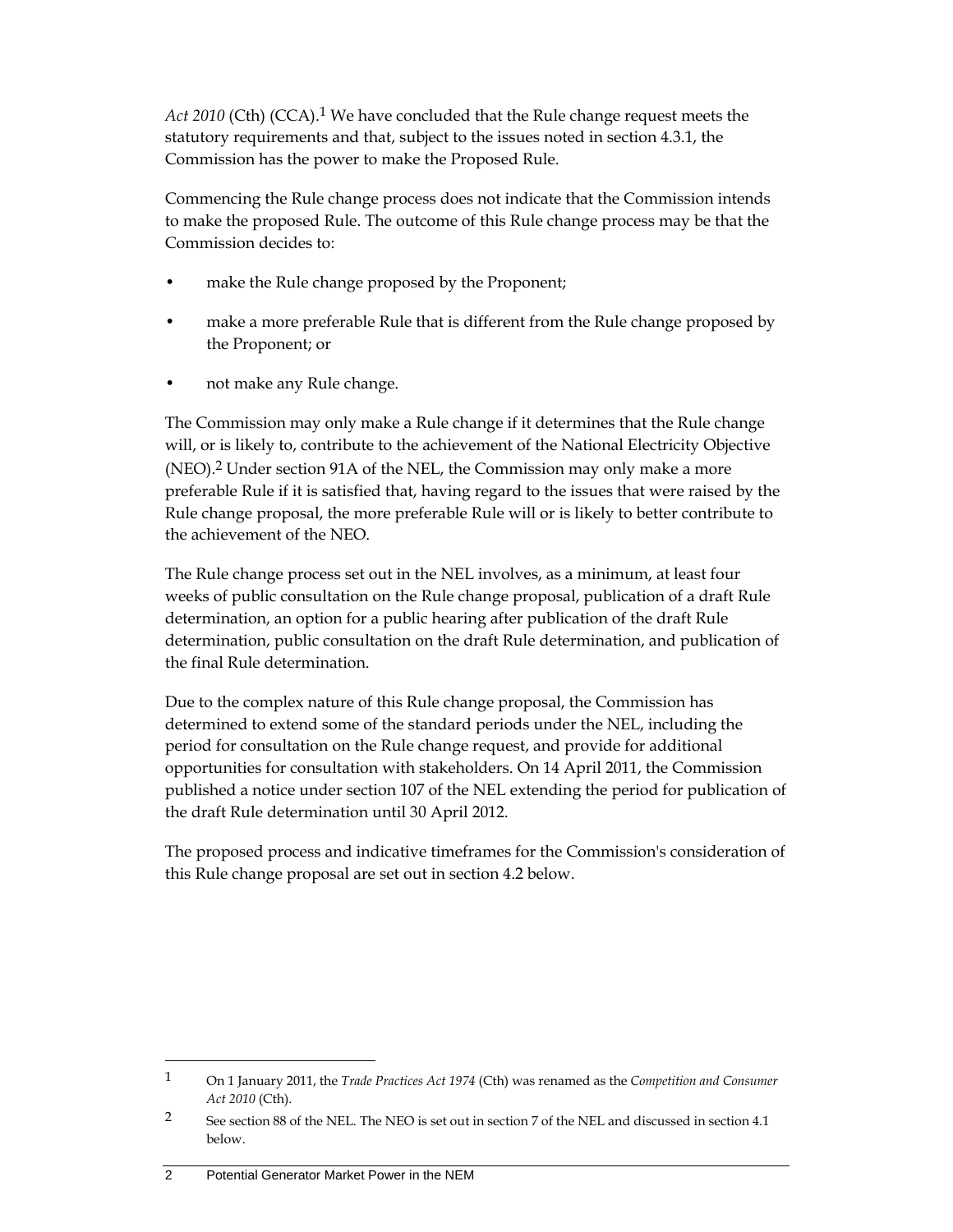*Act 2010* (Cth) (CCA).1 We have concluded that the Rule change request meets the statutory requirements and that, subject to the issues noted in section 4.3.1, the Commission has the power to make the Proposed Rule.

Commencing the Rule change process does not indicate that the Commission intends to make the proposed Rule. The outcome of this Rule change process may be that the Commission decides to:

- make the Rule change proposed by the Proponent;
- make a more preferable Rule that is different from the Rule change proposed by the Proponent; or
- not make any Rule change.

The Commission may only make a Rule change if it determines that the Rule change will, or is likely to, contribute to the achievement of the National Electricity Objective (NEO).2 Under section 91A of the NEL, the Commission may only make a more preferable Rule if it is satisfied that, having regard to the issues that were raised by the Rule change proposal, the more preferable Rule will or is likely to better contribute to the achievement of the NEO.

The Rule change process set out in the NEL involves, as a minimum, at least four weeks of public consultation on the Rule change proposal, publication of a draft Rule determination, an option for a public hearing after publication of the draft Rule determination, public consultation on the draft Rule determination, and publication of the final Rule determination.

Due to the complex nature of this Rule change proposal, the Commission has determined to extend some of the standard periods under the NEL, including the period for consultation on the Rule change request, and provide for additional opportunities for consultation with stakeholders. On 14 April 2011, the Commission published a notice under section 107 of the NEL extending the period for publication of the draft Rule determination until 30 April 2012.

The proposed process and indicative timeframes for the Commission's consideration of this Rule change proposal are set out in section 4.2 below.

#### 2 Potential Generator Market Power in the NEM

<sup>1</sup> On 1 January 2011, the *Trade Practices Act 1974* (Cth) was renamed as the *Competition and Consumer Act 2010* (Cth).

<sup>&</sup>lt;sup>2</sup> See section 88 of the NEL. The NEO is set out in section 7 of the NEL and discussed in section 4.1 below.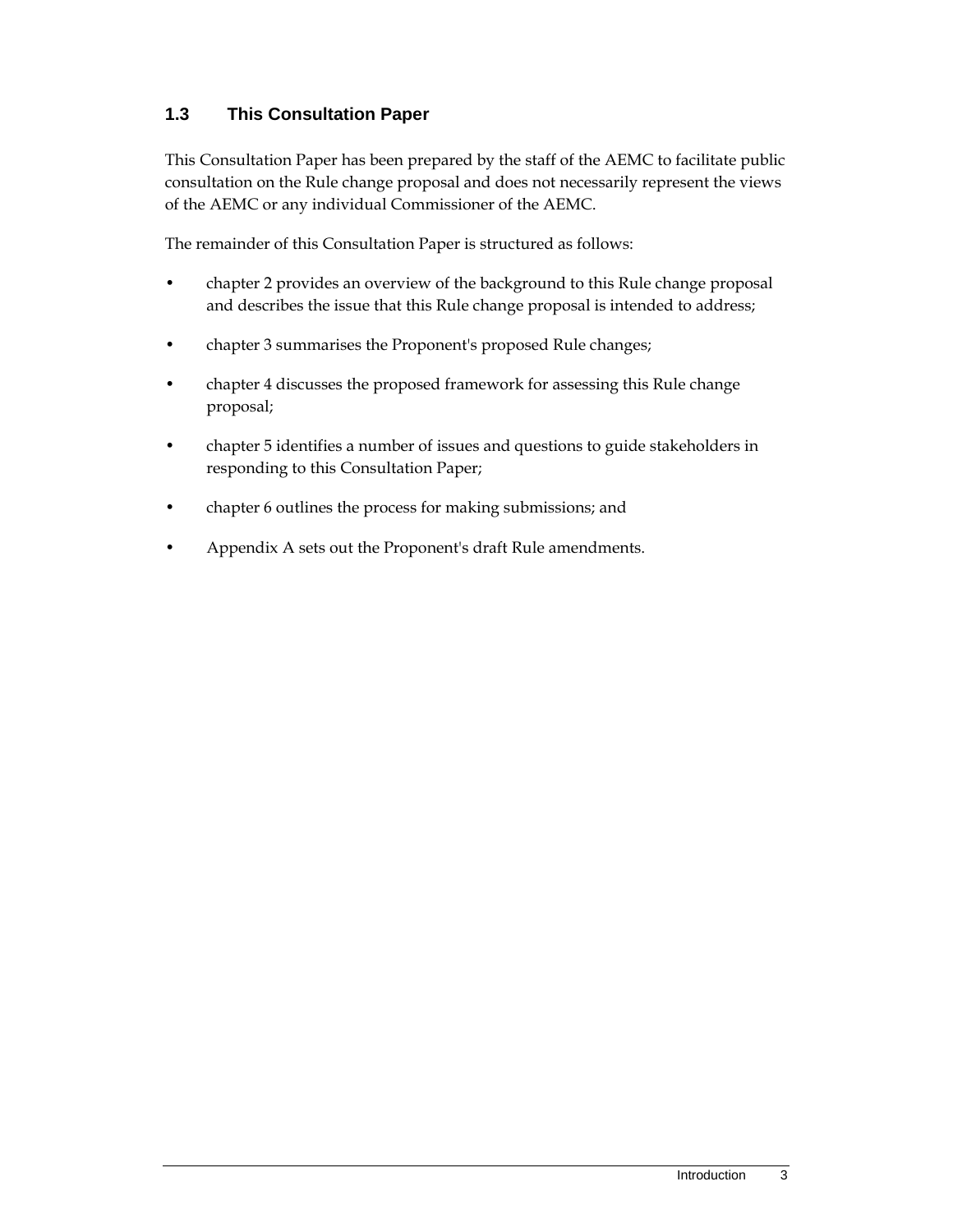## **1.3 This Consultation Paper**

This Consultation Paper has been prepared by the staff of the AEMC to facilitate public consultation on the Rule change proposal and does not necessarily represent the views of the AEMC or any individual Commissioner of the AEMC.

The remainder of this Consultation Paper is structured as follows:

- chapter 2 provides an overview of the background to this Rule change proposal and describes the issue that this Rule change proposal is intended to address;
- chapter 3 summarises the Proponent's proposed Rule changes;
- chapter 4 discusses the proposed framework for assessing this Rule change proposal;
- chapter 5 identifies a number of issues and questions to guide stakeholders in responding to this Consultation Paper;
- chapter 6 outlines the process for making submissions; and
- Appendix A sets out the Proponent's draft Rule amendments.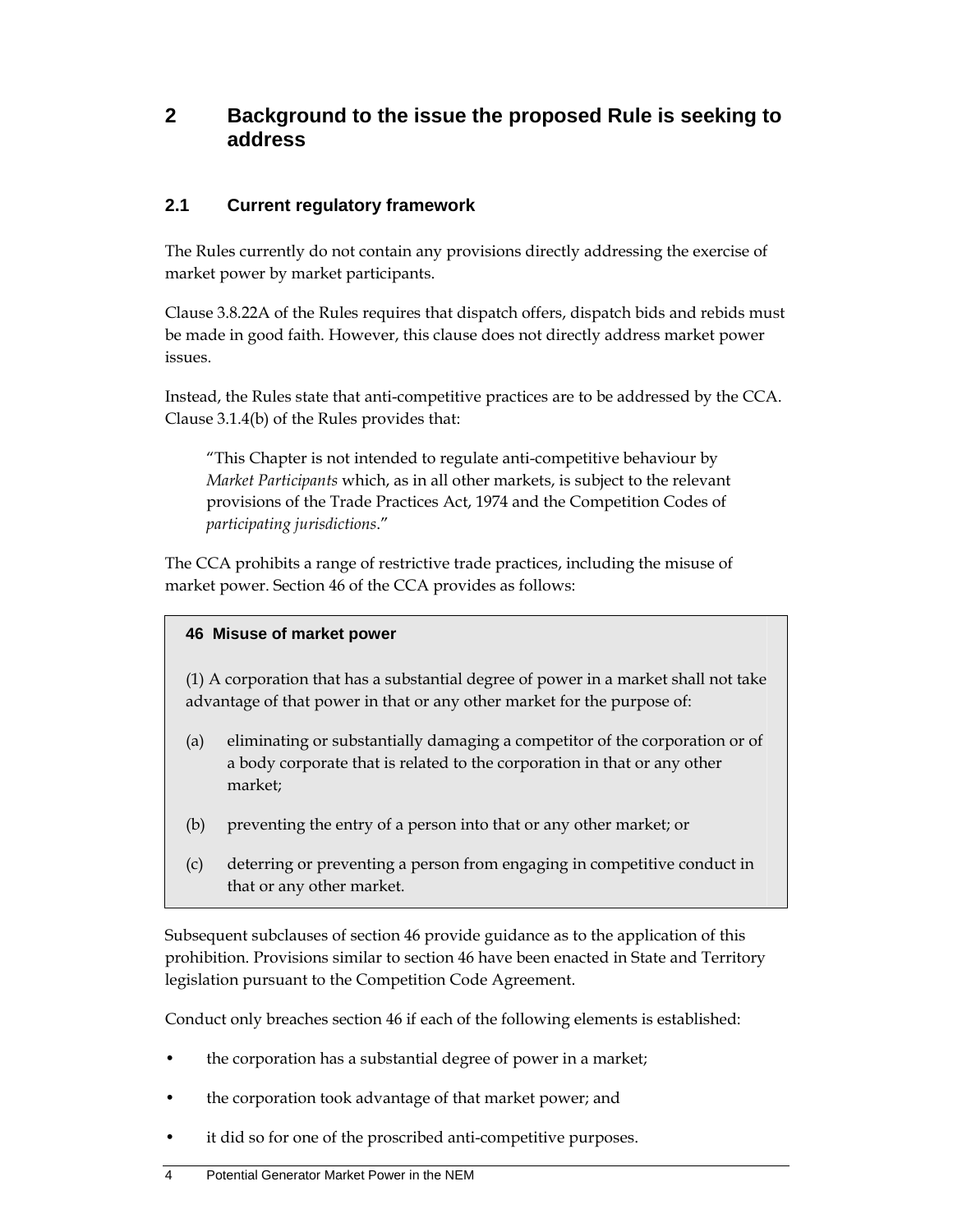## **2 Background to the issue the proposed Rule is seeking to address**

### **2.1 Current regulatory framework**

The Rules currently do not contain any provisions directly addressing the exercise of market power by market participants.

Clause 3.8.22A of the Rules requires that dispatch offers, dispatch bids and rebids must be made in good faith. However, this clause does not directly address market power issues.

Instead, the Rules state that anti-competitive practices are to be addressed by the CCA. Clause 3.1.4(b) of the Rules provides that:

"This Chapter is not intended to regulate anti-competitive behaviour by *Market Participants* which, as in all other markets, is subject to the relevant provisions of the Trade Practices Act, 1974 and the Competition Codes of *participating jurisdictions*."

The CCA prohibits a range of restrictive trade practices, including the misuse of market power. Section 46 of the CCA provides as follows:

#### **46 Misuse of market power**

(1) A corporation that has a substantial degree of power in a market shall not take advantage of that power in that or any other market for the purpose of:

- (a) eliminating or substantially damaging a competitor of the corporation or of a body corporate that is related to the corporation in that or any other market;
- (b) preventing the entry of a person into that or any other market; or
- (c) deterring or preventing a person from engaging in competitive conduct in that or any other market.

Subsequent subclauses of section 46 provide guidance as to the application of this prohibition. Provisions similar to section 46 have been enacted in State and Territory legislation pursuant to the Competition Code Agreement.

Conduct only breaches section 46 if each of the following elements is established:

- the corporation has a substantial degree of power in a market;
- the corporation took advantage of that market power; and
- it did so for one of the proscribed anti-competitive purposes.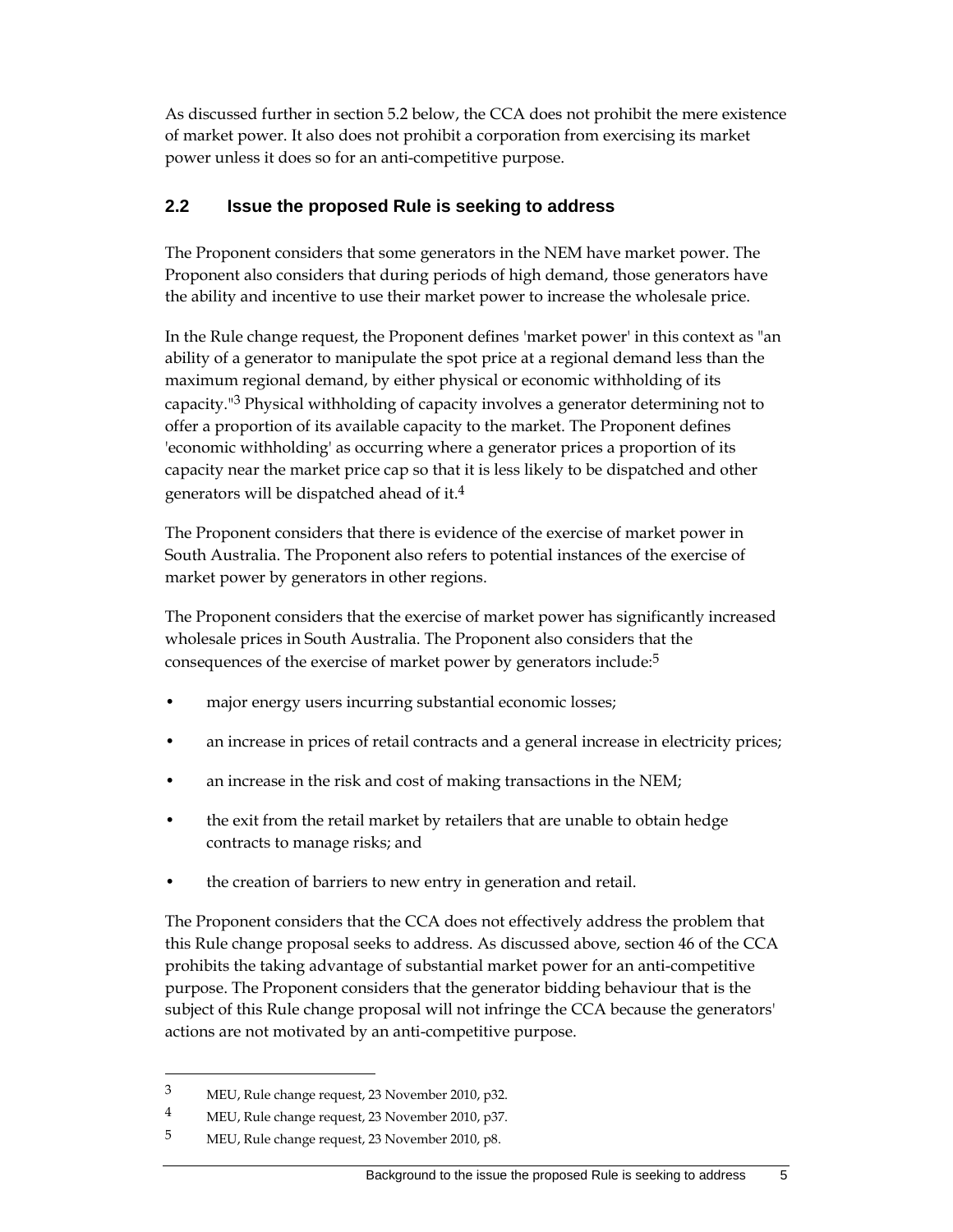As discussed further in section 5.2 below, the CCA does not prohibit the mere existence of market power. It also does not prohibit a corporation from exercising its market power unless it does so for an anti-competitive purpose.

### **2.2 Issue the proposed Rule is seeking to address**

The Proponent considers that some generators in the NEM have market power. The Proponent also considers that during periods of high demand, those generators have the ability and incentive to use their market power to increase the wholesale price.

In the Rule change request, the Proponent defines 'market power' in this context as "an ability of a generator to manipulate the spot price at a regional demand less than the maximum regional demand, by either physical or economic withholding of its capacity."3 Physical withholding of capacity involves a generator determining not to offer a proportion of its available capacity to the market. The Proponent defines 'economic withholding' as occurring where a generator prices a proportion of its capacity near the market price cap so that it is less likely to be dispatched and other generators will be dispatched ahead of it.4

The Proponent considers that there is evidence of the exercise of market power in South Australia. The Proponent also refers to potential instances of the exercise of market power by generators in other regions.

The Proponent considers that the exercise of market power has significantly increased wholesale prices in South Australia. The Proponent also considers that the consequences of the exercise of market power by generators include:5

- major energy users incurring substantial economic losses;
- an increase in prices of retail contracts and a general increase in electricity prices;
- an increase in the risk and cost of making transactions in the NEM;
- the exit from the retail market by retailers that are unable to obtain hedge contracts to manage risks; and
- the creation of barriers to new entry in generation and retail.

The Proponent considers that the CCA does not effectively address the problem that this Rule change proposal seeks to address. As discussed above, section 46 of the CCA prohibits the taking advantage of substantial market power for an anti-competitive purpose. The Proponent considers that the generator bidding behaviour that is the subject of this Rule change proposal will not infringe the CCA because the generators' actions are not motivated by an anti-competitive purpose.

<sup>3</sup> MEU, Rule change request, 23 November 2010, p32.

<sup>4</sup> MEU, Rule change request, 23 November 2010, p37.

<sup>5</sup> MEU, Rule change request, 23 November 2010, p8.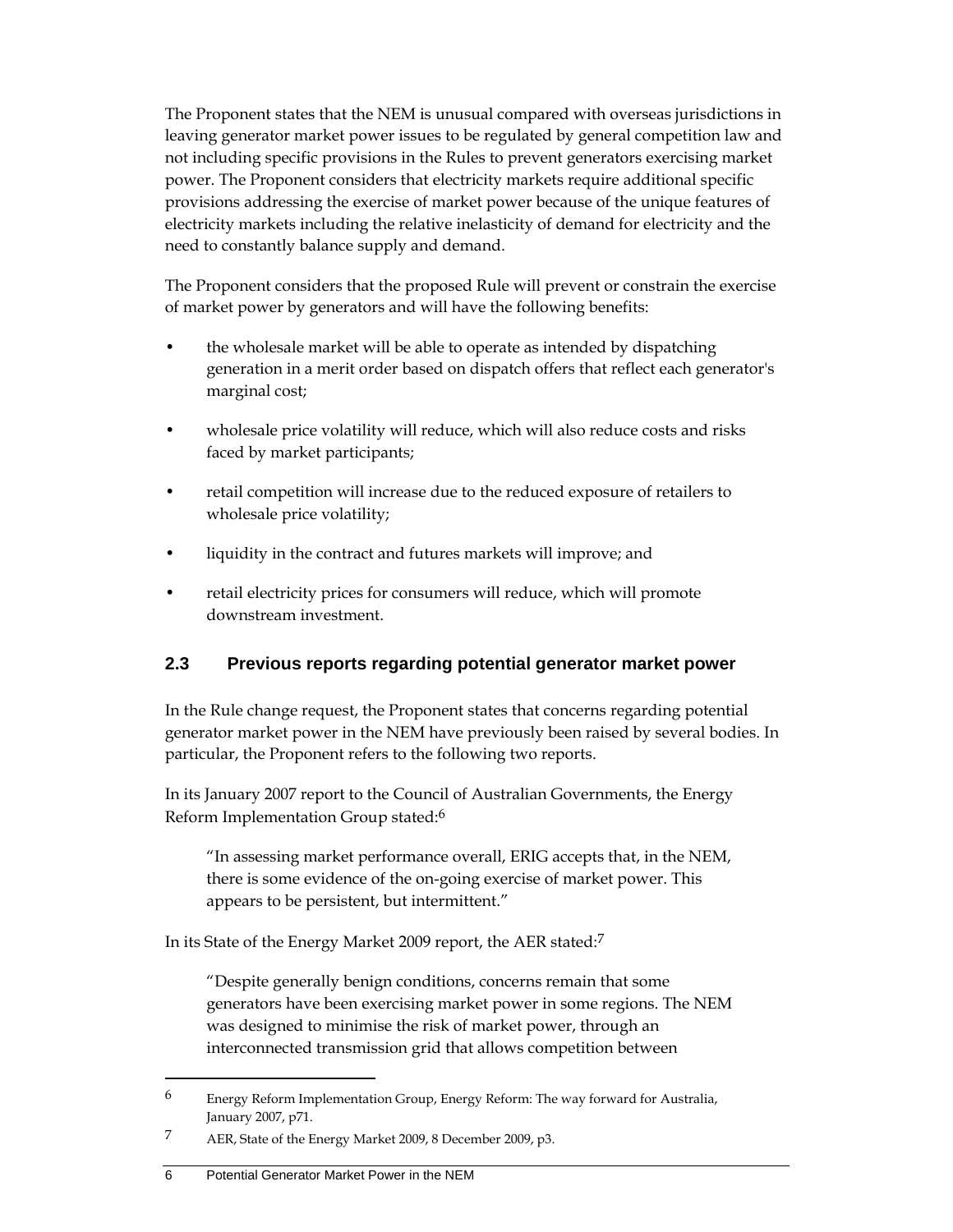The Proponent states that the NEM is unusual compared with overseas jurisdictions in leaving generator market power issues to be regulated by general competition law and not including specific provisions in the Rules to prevent generators exercising market power. The Proponent considers that electricity markets require additional specific provisions addressing the exercise of market power because of the unique features of electricity markets including the relative inelasticity of demand for electricity and the need to constantly balance supply and demand.

The Proponent considers that the proposed Rule will prevent or constrain the exercise of market power by generators and will have the following benefits:

- the wholesale market will be able to operate as intended by dispatching generation in a merit order based on dispatch offers that reflect each generator's marginal cost;
- wholesale price volatility will reduce, which will also reduce costs and risks faced by market participants;
- retail competition will increase due to the reduced exposure of retailers to wholesale price volatility;
- liquidity in the contract and futures markets will improve; and
- retail electricity prices for consumers will reduce, which will promote downstream investment.

## **2.3 Previous reports regarding potential generator market power**

In the Rule change request, the Proponent states that concerns regarding potential generator market power in the NEM have previously been raised by several bodies. In particular, the Proponent refers to the following two reports.

In its January 2007 report to the Council of Australian Governments, the Energy Reform Implementation Group stated:6

"In assessing market performance overall, ERIG accepts that, in the NEM, there is some evidence of the on-going exercise of market power. This appears to be persistent, but intermittent."

In its State of the Energy Market 2009 report, the AER stated:7

"Despite generally benign conditions, concerns remain that some generators have been exercising market power in some regions. The NEM was designed to minimise the risk of market power, through an interconnected transmission grid that allows competition between

<sup>6</sup> Energy Reform Implementation Group, Energy Reform: The way forward for Australia, January 2007, p71.

<sup>7</sup> AER, State of the Energy Market 2009, 8 December 2009, p3.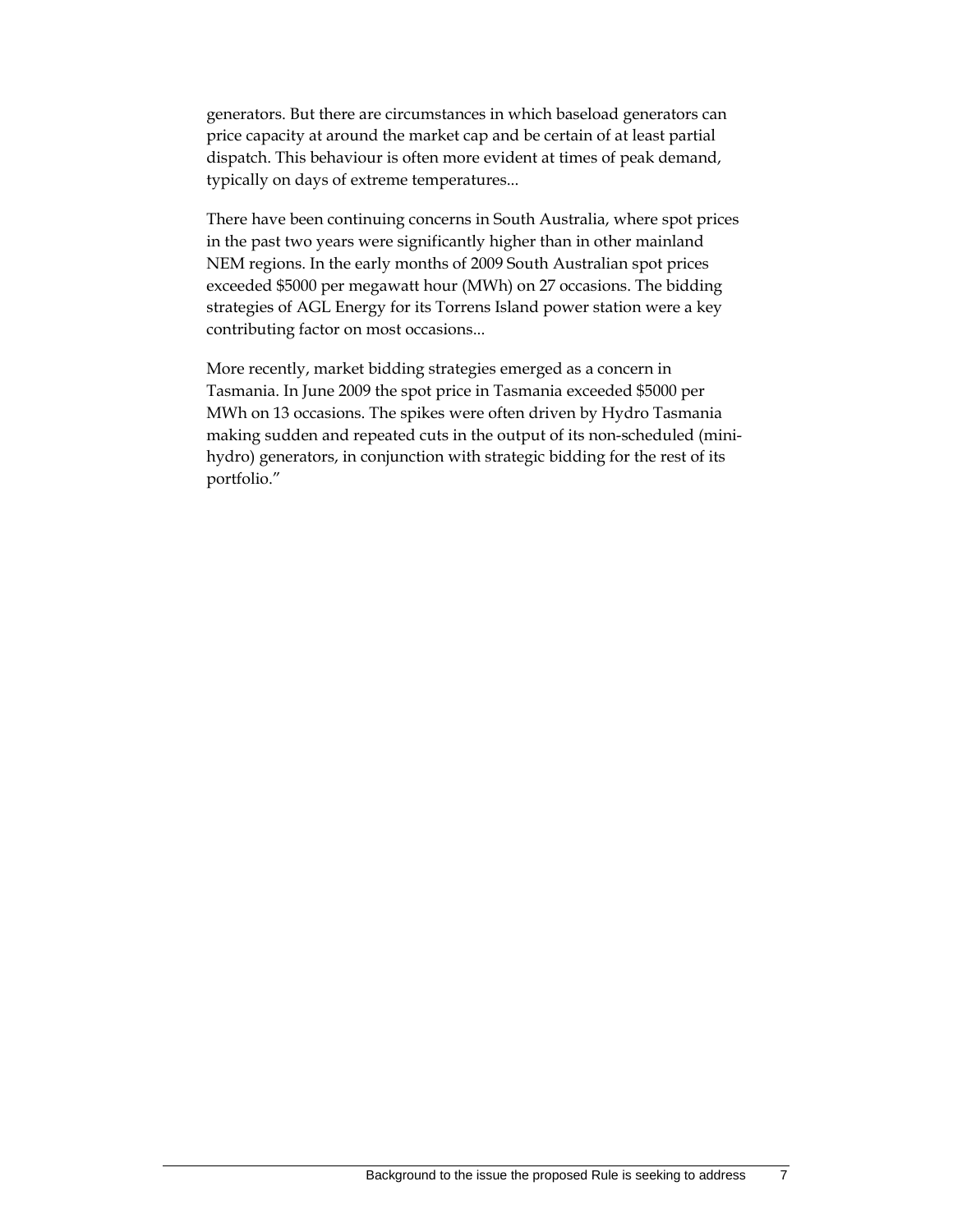generators. But there are circumstances in which baseload generators can price capacity at around the market cap and be certain of at least partial dispatch. This behaviour is often more evident at times of peak demand, typically on days of extreme temperatures...

There have been continuing concerns in South Australia, where spot prices in the past two years were significantly higher than in other mainland NEM regions. In the early months of 2009 South Australian spot prices exceeded \$5000 per megawatt hour (MWh) on 27 occasions. The bidding strategies of AGL Energy for its Torrens Island power station were a key contributing factor on most occasions...

More recently, market bidding strategies emerged as a concern in Tasmania. In June 2009 the spot price in Tasmania exceeded \$5000 per MWh on 13 occasions. The spikes were often driven by Hydro Tasmania making sudden and repeated cuts in the output of its non-scheduled (minihydro) generators, in conjunction with strategic bidding for the rest of its portfolio."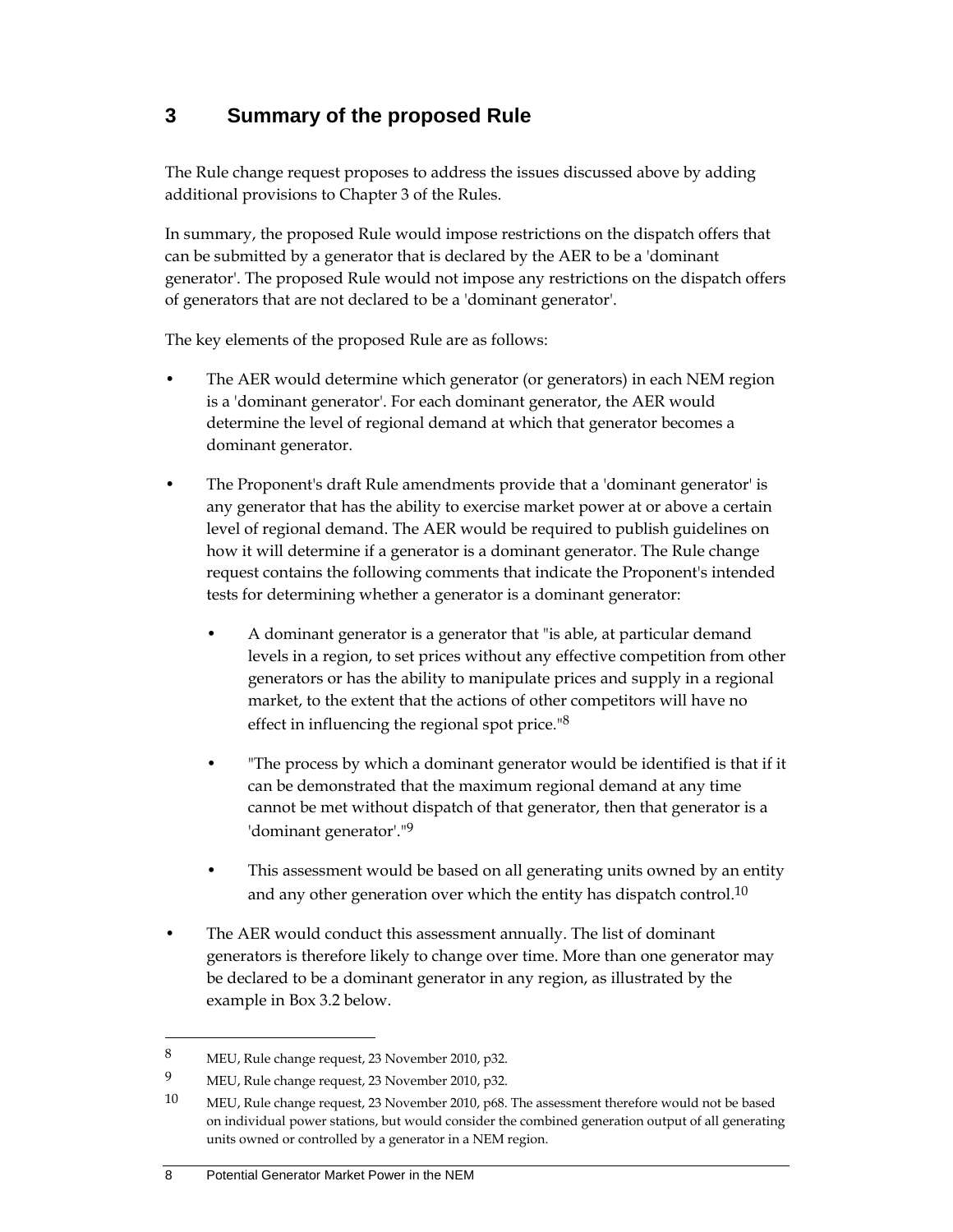## **3 Summary of the proposed Rule**

The Rule change request proposes to address the issues discussed above by adding additional provisions to Chapter 3 of the Rules.

In summary, the proposed Rule would impose restrictions on the dispatch offers that can be submitted by a generator that is declared by the AER to be a 'dominant generator'. The proposed Rule would not impose any restrictions on the dispatch offers of generators that are not declared to be a 'dominant generator'.

The key elements of the proposed Rule are as follows:

- The AER would determine which generator (or generators) in each NEM region is a 'dominant generator'. For each dominant generator, the AER would determine the level of regional demand at which that generator becomes a dominant generator.
- The Proponent's draft Rule amendments provide that a 'dominant generator' is any generator that has the ability to exercise market power at or above a certain level of regional demand. The AER would be required to publish guidelines on how it will determine if a generator is a dominant generator. The Rule change request contains the following comments that indicate the Proponent's intended tests for determining whether a generator is a dominant generator:
	- A dominant generator is a generator that "is able, at particular demand levels in a region, to set prices without any effective competition from other generators or has the ability to manipulate prices and supply in a regional market, to the extent that the actions of other competitors will have no effect in influencing the regional spot price."8
	- "The process by which a dominant generator would be identified is that if it can be demonstrated that the maximum regional demand at any time cannot be met without dispatch of that generator, then that generator is a 'dominant generator'."9
	- This assessment would be based on all generating units owned by an entity and any other generation over which the entity has dispatch control.<sup>10</sup>
- The AER would conduct this assessment annually. The list of dominant generators is therefore likely to change over time. More than one generator may be declared to be a dominant generator in any region, as illustrated by the example in Box 3.2 below.

<sup>8</sup> MEU, Rule change request, 23 November 2010, p32.

<sup>9</sup> MEU, Rule change request, 23 November 2010, p32.

<sup>10</sup> MEU, Rule change request, 23 November 2010, p68. The assessment therefore would not be based on individual power stations, but would consider the combined generation output of all generating units owned or controlled by a generator in a NEM region.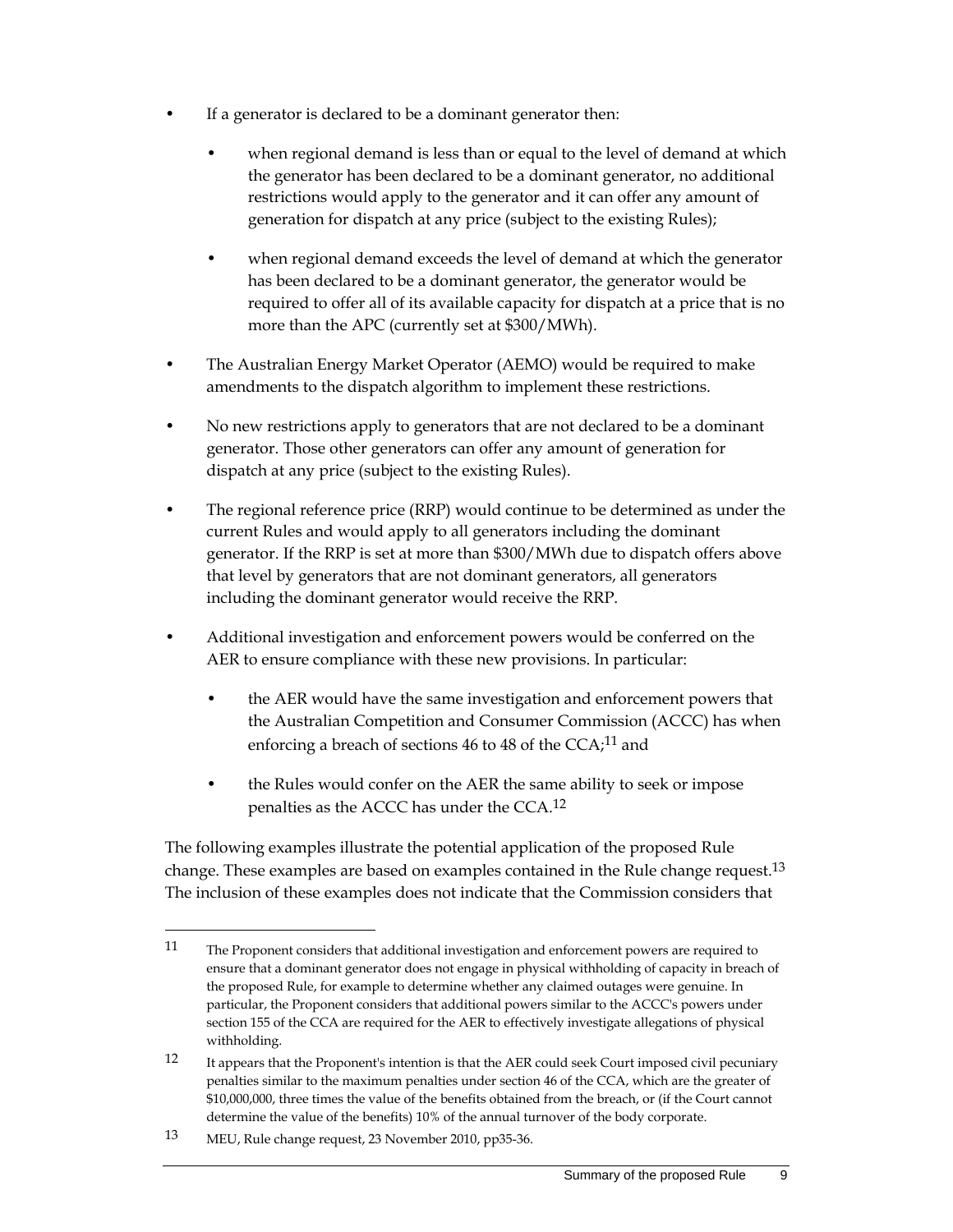- If a generator is declared to be a dominant generator then:
	- when regional demand is less than or equal to the level of demand at which the generator has been declared to be a dominant generator, no additional restrictions would apply to the generator and it can offer any amount of generation for dispatch at any price (subject to the existing Rules);
	- when regional demand exceeds the level of demand at which the generator has been declared to be a dominant generator, the generator would be required to offer all of its available capacity for dispatch at a price that is no more than the APC (currently set at \$300/MWh).
- The Australian Energy Market Operator (AEMO) would be required to make amendments to the dispatch algorithm to implement these restrictions.
- No new restrictions apply to generators that are not declared to be a dominant generator. Those other generators can offer any amount of generation for dispatch at any price (subject to the existing Rules).
- The regional reference price (RRP) would continue to be determined as under the current Rules and would apply to all generators including the dominant generator. If the RRP is set at more than \$300/MWh due to dispatch offers above that level by generators that are not dominant generators, all generators including the dominant generator would receive the RRP.
- Additional investigation and enforcement powers would be conferred on the AER to ensure compliance with these new provisions. In particular:
	- the AER would have the same investigation and enforcement powers that the Australian Competition and Consumer Commission (ACCC) has when enforcing a breach of sections 46 to 48 of the  $CCA;^{11}$  and
	- the Rules would confer on the AER the same ability to seek or impose penalties as the ACCC has under the CCA.12

The following examples illustrate the potential application of the proposed Rule change. These examples are based on examples contained in the Rule change request.13 The inclusion of these examples does not indicate that the Commission considers that

13 MEU, Rule change request, 23 November 2010, pp35-36.

<sup>11</sup> The Proponent considers that additional investigation and enforcement powers are required to ensure that a dominant generator does not engage in physical withholding of capacity in breach of the proposed Rule, for example to determine whether any claimed outages were genuine. In particular, the Proponent considers that additional powers similar to the ACCC's powers under section 155 of the CCA are required for the AER to effectively investigate allegations of physical withholding.

<sup>12</sup> It appears that the Proponent's intention is that the AER could seek Court imposed civil pecuniary penalties similar to the maximum penalties under section 46 of the CCA, which are the greater of \$10,000,000, three times the value of the benefits obtained from the breach, or (if the Court cannot determine the value of the benefits) 10% of the annual turnover of the body corporate.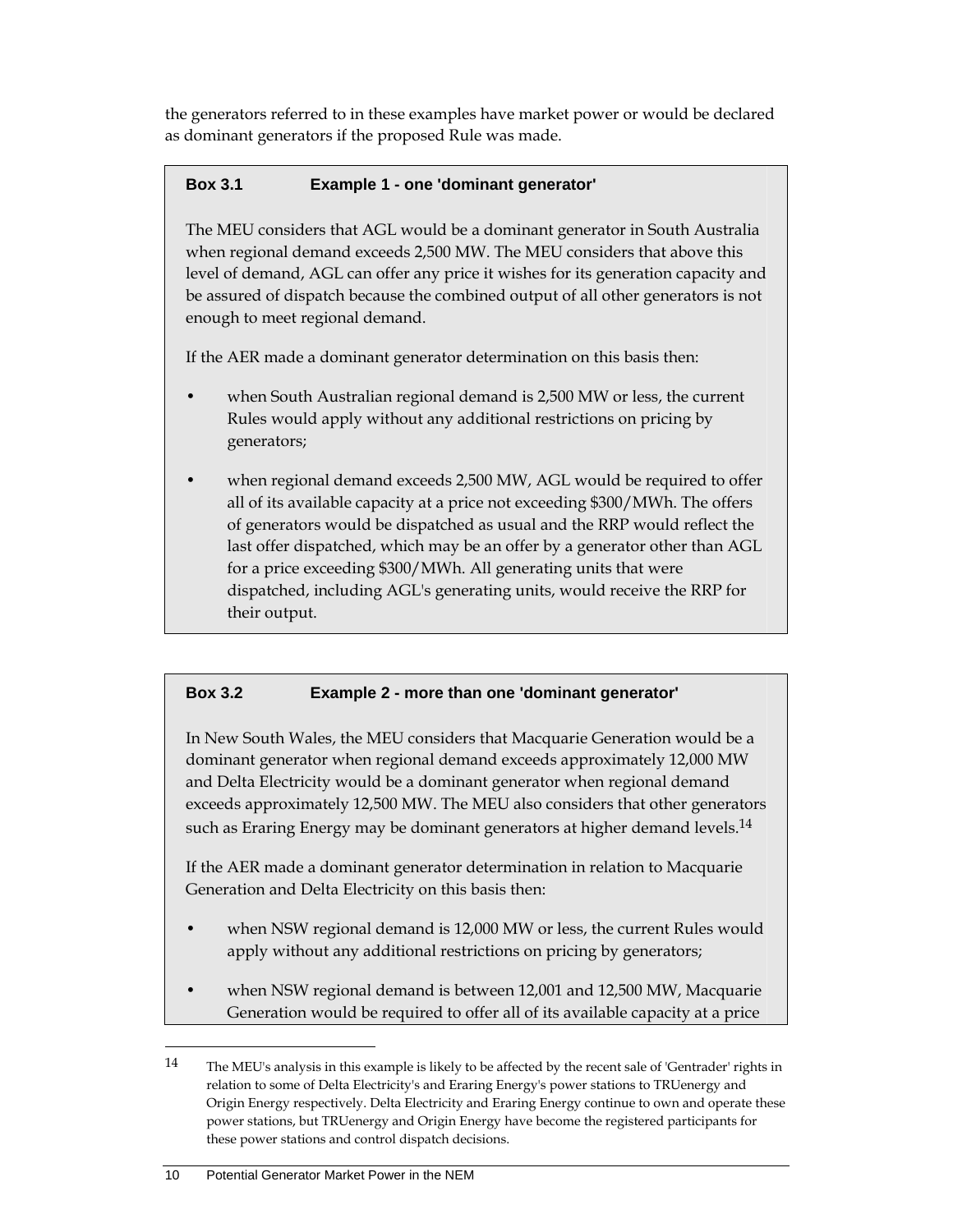the generators referred to in these examples have market power or would be declared as dominant generators if the proposed Rule was made.

### **Box 3.1 Example 1 - one 'dominant generator'**

The MEU considers that AGL would be a dominant generator in South Australia when regional demand exceeds 2,500 MW. The MEU considers that above this level of demand, AGL can offer any price it wishes for its generation capacity and be assured of dispatch because the combined output of all other generators is not enough to meet regional demand.

If the AER made a dominant generator determination on this basis then:

- when South Australian regional demand is 2,500 MW or less, the current Rules would apply without any additional restrictions on pricing by generators;
- when regional demand exceeds 2,500 MW, AGL would be required to offer all of its available capacity at a price not exceeding \$300/MWh. The offers of generators would be dispatched as usual and the RRP would reflect the last offer dispatched, which may be an offer by a generator other than AGL for a price exceeding \$300/MWh. All generating units that were dispatched, including AGL's generating units, would receive the RRP for their output.

## **Box 3.2 Example 2 - more than one 'dominant generator'**

In New South Wales, the MEU considers that Macquarie Generation would be a dominant generator when regional demand exceeds approximately 12,000 MW and Delta Electricity would be a dominant generator when regional demand exceeds approximately 12,500 MW. The MEU also considers that other generators such as Eraring Energy may be dominant generators at higher demand levels.<sup>14</sup>

If the AER made a dominant generator determination in relation to Macquarie Generation and Delta Electricity on this basis then:

- when NSW regional demand is 12,000 MW or less, the current Rules would apply without any additional restrictions on pricing by generators;
- when NSW regional demand is between 12,001 and 12,500 MW, Macquarie Generation would be required to offer all of its available capacity at a price

<sup>14</sup> The MEU's analysis in this example is likely to be affected by the recent sale of 'Gentrader' rights in relation to some of Delta Electricity's and Eraring Energy's power stations to TRUenergy and Origin Energy respectively. Delta Electricity and Eraring Energy continue to own and operate these power stations, but TRUenergy and Origin Energy have become the registered participants for these power stations and control dispatch decisions.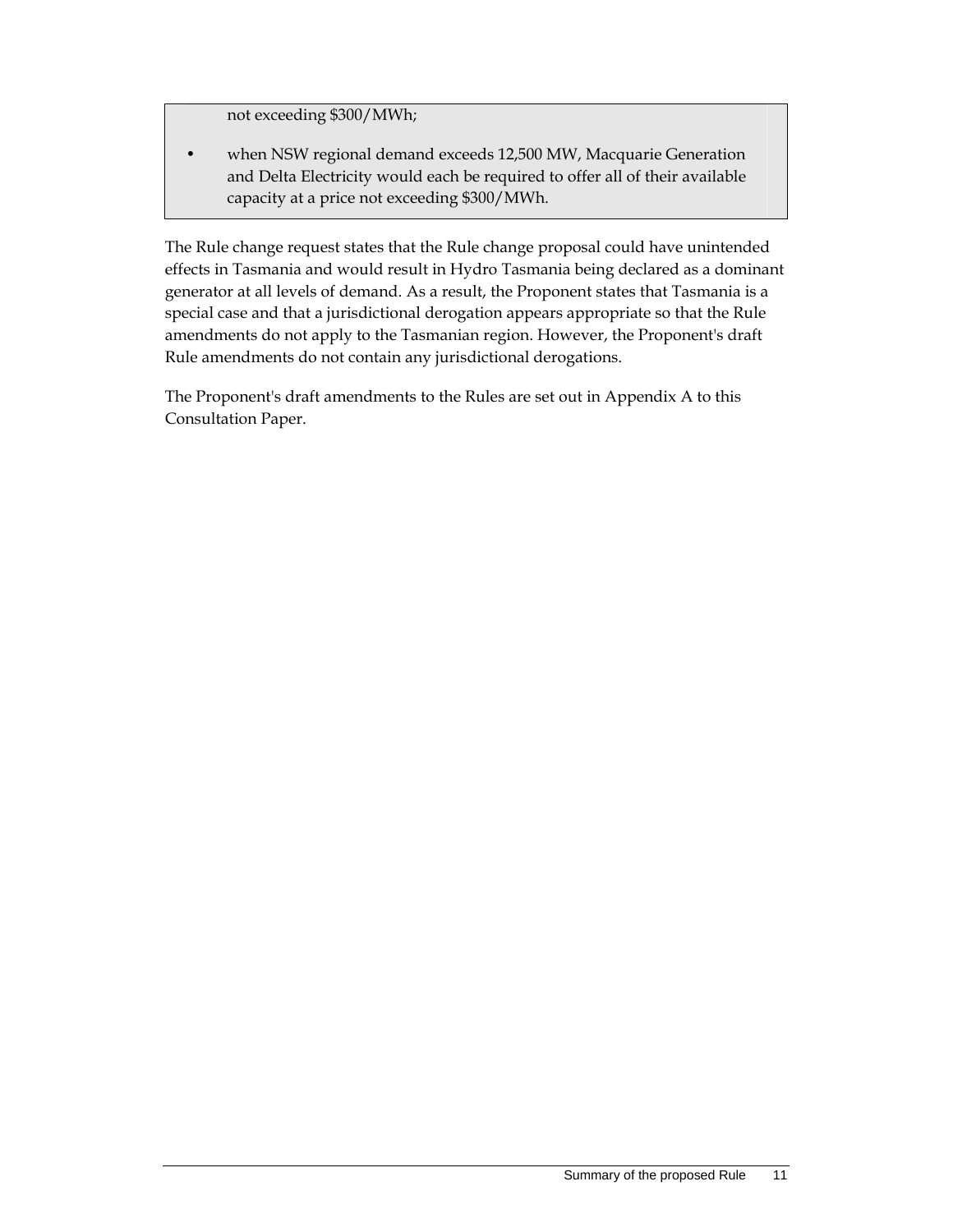not exceeding \$300/MWh;

• when NSW regional demand exceeds 12,500 MW, Macquarie Generation and Delta Electricity would each be required to offer all of their available capacity at a price not exceeding \$300/MWh.

The Rule change request states that the Rule change proposal could have unintended effects in Tasmania and would result in Hydro Tasmania being declared as a dominant generator at all levels of demand. As a result, the Proponent states that Tasmania is a special case and that a jurisdictional derogation appears appropriate so that the Rule amendments do not apply to the Tasmanian region. However, the Proponent's draft Rule amendments do not contain any jurisdictional derogations.

The Proponent's draft amendments to the Rules are set out in Appendix A to this Consultation Paper.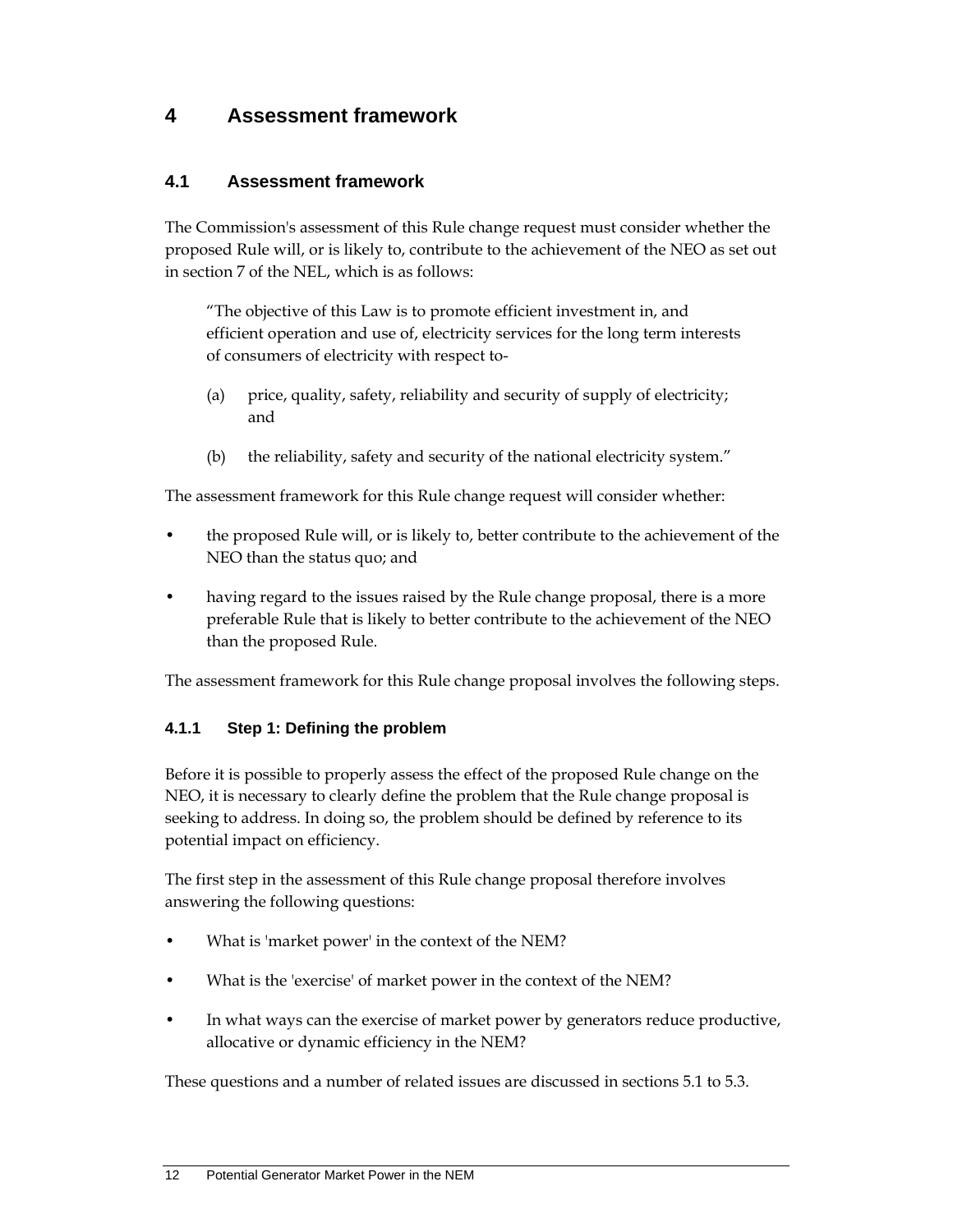## **4 Assessment framework**

### **4.1 Assessment framework**

The Commission's assessment of this Rule change request must consider whether the proposed Rule will, or is likely to, contribute to the achievement of the NEO as set out in section 7 of the NEL, which is as follows:

"The objective of this Law is to promote efficient investment in, and efficient operation and use of, electricity services for the long term interests of consumers of electricity with respect to-

- (a) price, quality, safety, reliability and security of supply of electricity; and
- (b) the reliability, safety and security of the national electricity system."

The assessment framework for this Rule change request will consider whether:

- the proposed Rule will, or is likely to, better contribute to the achievement of the NEO than the status quo; and
- having regard to the issues raised by the Rule change proposal, there is a more preferable Rule that is likely to better contribute to the achievement of the NEO than the proposed Rule.

The assessment framework for this Rule change proposal involves the following steps.

#### **4.1.1 Step 1: Defining the problem**

Before it is possible to properly assess the effect of the proposed Rule change on the NEO, it is necessary to clearly define the problem that the Rule change proposal is seeking to address. In doing so, the problem should be defined by reference to its potential impact on efficiency.

The first step in the assessment of this Rule change proposal therefore involves answering the following questions:

- What is 'market power' in the context of the NEM?
- What is the 'exercise' of market power in the context of the NEM?
- In what ways can the exercise of market power by generators reduce productive, allocative or dynamic efficiency in the NEM?

These questions and a number of related issues are discussed in sections 5.1 to 5.3.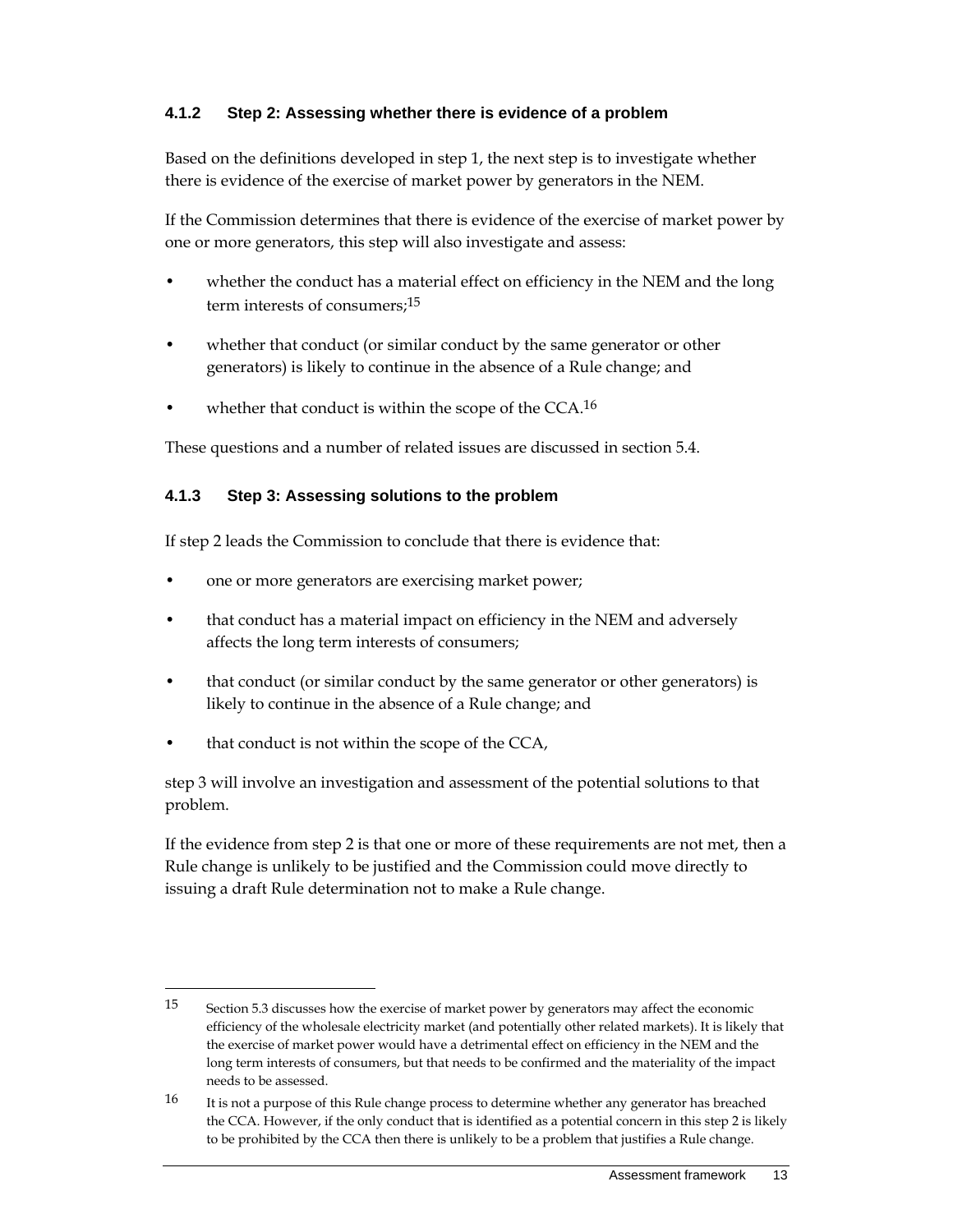#### **4.1.2 Step 2: Assessing whether there is evidence of a problem**

Based on the definitions developed in step 1, the next step is to investigate whether there is evidence of the exercise of market power by generators in the NEM.

If the Commission determines that there is evidence of the exercise of market power by one or more generators, this step will also investigate and assess:

- whether the conduct has a material effect on efficiency in the NEM and the long term interests of consumers:<sup>15</sup>
- whether that conduct (or similar conduct by the same generator or other generators) is likely to continue in the absence of a Rule change; and
- whether that conduct is within the scope of the  $CCA.^16$

These questions and a number of related issues are discussed in section 5.4.

#### **4.1.3 Step 3: Assessing solutions to the problem**

If step 2 leads the Commission to conclude that there is evidence that:

- one or more generators are exercising market power;
- that conduct has a material impact on efficiency in the NEM and adversely affects the long term interests of consumers;
- that conduct (or similar conduct by the same generator or other generators) is likely to continue in the absence of a Rule change; and
- that conduct is not within the scope of the CCA,

 $\overline{a}$ 

step 3 will involve an investigation and assessment of the potential solutions to that problem.

If the evidence from step 2 is that one or more of these requirements are not met, then a Rule change is unlikely to be justified and the Commission could move directly to issuing a draft Rule determination not to make a Rule change.

<sup>15</sup> Section 5.3 discusses how the exercise of market power by generators may affect the economic efficiency of the wholesale electricity market (and potentially other related markets). It is likely that the exercise of market power would have a detrimental effect on efficiency in the NEM and the long term interests of consumers, but that needs to be confirmed and the materiality of the impact needs to be assessed.

<sup>&</sup>lt;sup>16</sup> It is not a purpose of this Rule change process to determine whether any generator has breached the CCA. However, if the only conduct that is identified as a potential concern in this step 2 is likely to be prohibited by the CCA then there is unlikely to be a problem that justifies a Rule change.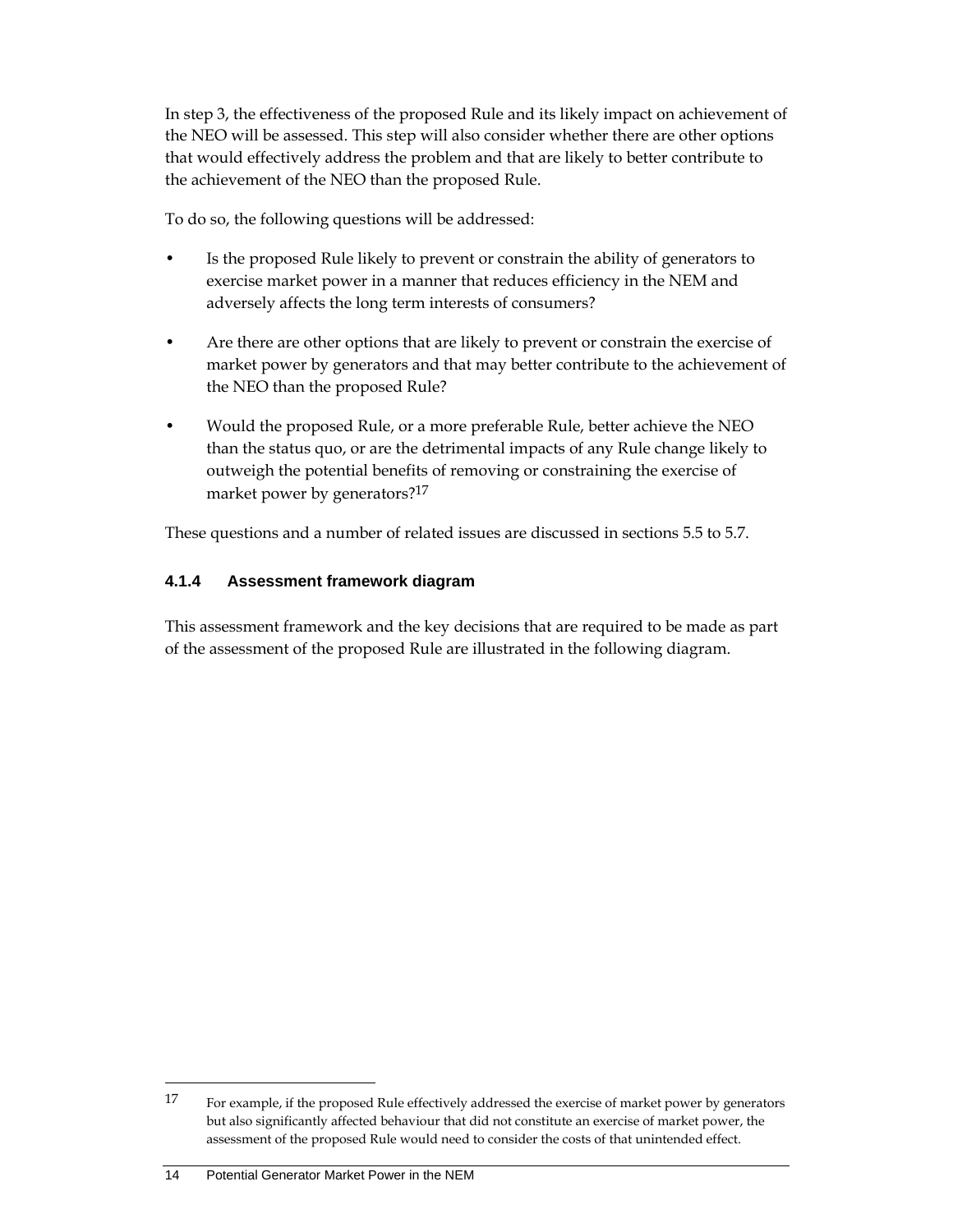In step 3, the effectiveness of the proposed Rule and its likely impact on achievement of the NEO will be assessed. This step will also consider whether there are other options that would effectively address the problem and that are likely to better contribute to the achievement of the NEO than the proposed Rule.

To do so, the following questions will be addressed:

- Is the proposed Rule likely to prevent or constrain the ability of generators to exercise market power in a manner that reduces efficiency in the NEM and adversely affects the long term interests of consumers?
- Are there are other options that are likely to prevent or constrain the exercise of market power by generators and that may better contribute to the achievement of the NEO than the proposed Rule?
- Would the proposed Rule, or a more preferable Rule, better achieve the NEO than the status quo, or are the detrimental impacts of any Rule change likely to outweigh the potential benefits of removing or constraining the exercise of market power by generators?<sup>17</sup>

These questions and a number of related issues are discussed in sections 5.5 to 5.7.

#### **4.1.4 Assessment framework diagram**

This assessment framework and the key decisions that are required to be made as part of the assessment of the proposed Rule are illustrated in the following diagram.

<sup>17</sup> For example, if the proposed Rule effectively addressed the exercise of market power by generators but also significantly affected behaviour that did not constitute an exercise of market power, the assessment of the proposed Rule would need to consider the costs of that unintended effect.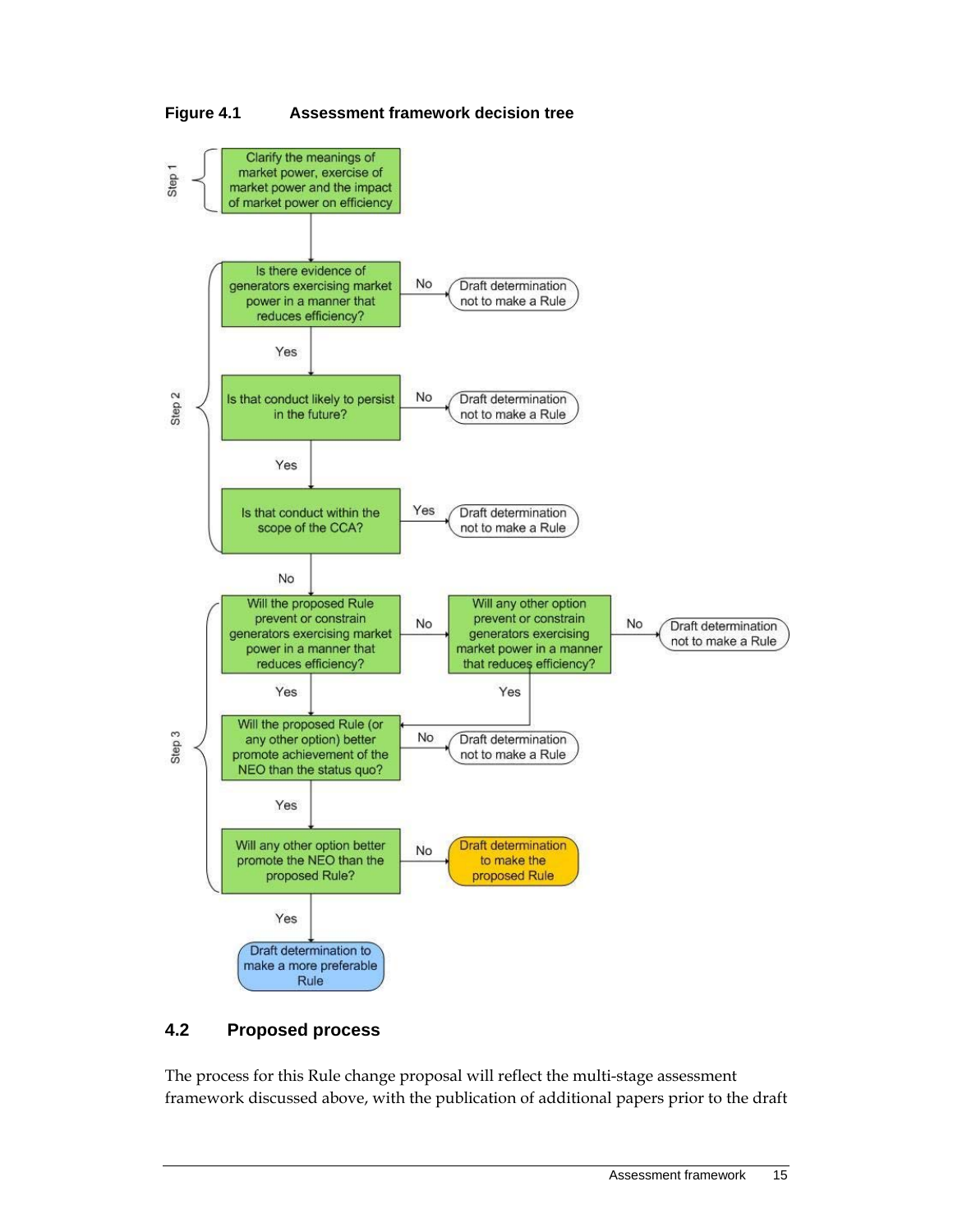

#### **Figure 4.1 Assessment framework decision tree**

## **4.2 Proposed process**

The process for this Rule change proposal will reflect the multi-stage assessment framework discussed above, with the publication of additional papers prior to the draft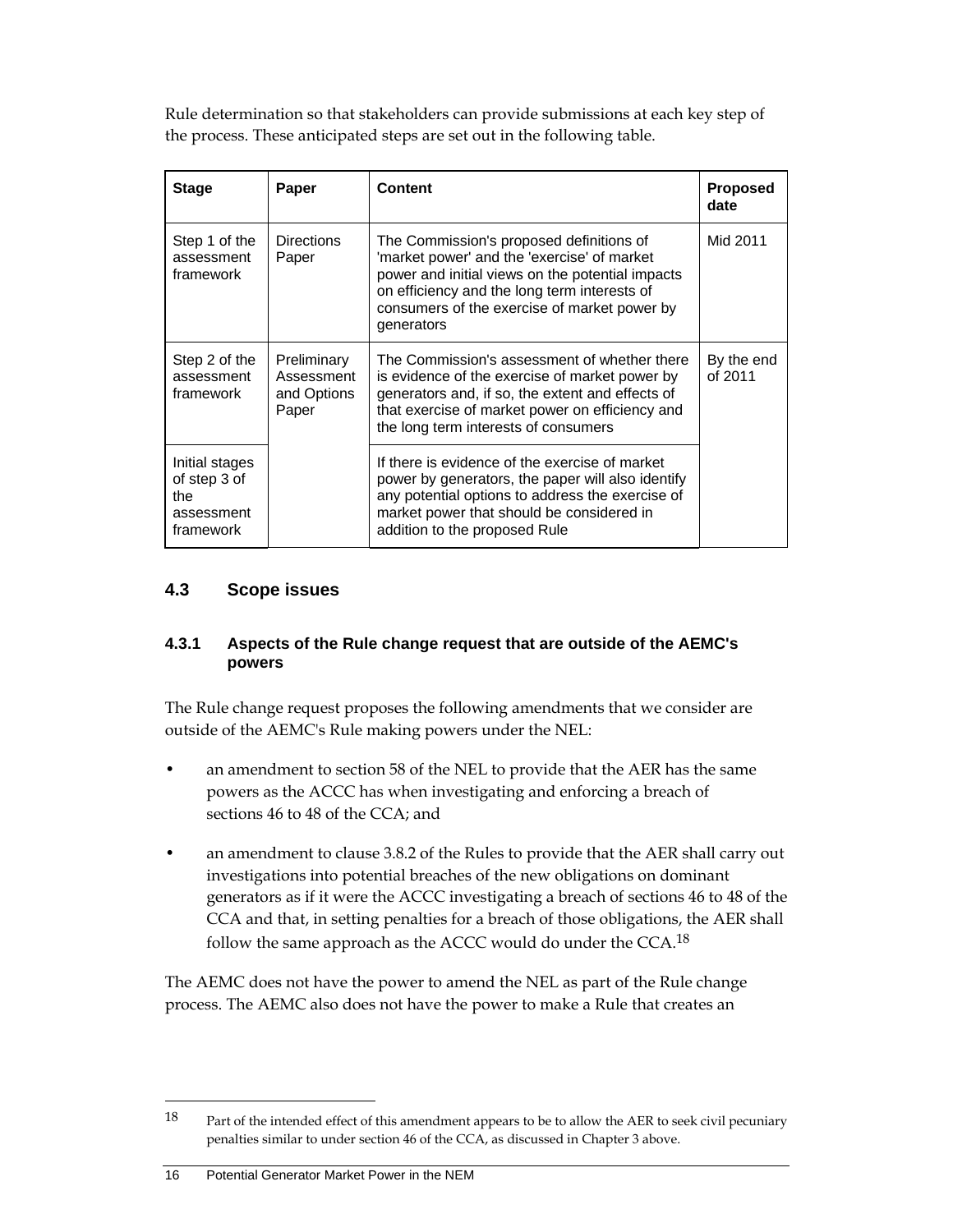Rule determination so that stakeholders can provide submissions at each key step of the process. These anticipated steps are set out in the following table.

| <b>Stage</b>                                                     | Paper                                             | <b>Content</b>                                                                                                                                                                                                                                            | <b>Proposed</b><br>date |
|------------------------------------------------------------------|---------------------------------------------------|-----------------------------------------------------------------------------------------------------------------------------------------------------------------------------------------------------------------------------------------------------------|-------------------------|
| Step 1 of the<br>assessment<br>framework                         | <b>Directions</b><br>Paper                        | The Commission's proposed definitions of<br>'market power' and the 'exercise' of market<br>power and initial views on the potential impacts<br>on efficiency and the long term interests of<br>consumers of the exercise of market power by<br>generators | Mid 2011                |
| Step 2 of the<br>assessment<br>framework                         | Preliminary<br>Assessment<br>and Options<br>Paper | The Commission's assessment of whether there<br>is evidence of the exercise of market power by<br>generators and, if so, the extent and effects of<br>that exercise of market power on efficiency and<br>the long term interests of consumers             | By the end<br>of 2011   |
| Initial stages<br>of step 3 of<br>the<br>assessment<br>framework |                                                   | If there is evidence of the exercise of market<br>power by generators, the paper will also identify<br>any potential options to address the exercise of<br>market power that should be considered in<br>addition to the proposed Rule                     |                         |

### **4.3 Scope issues**

#### **4.3.1 Aspects of the Rule change request that are outside of the AEMC's powers**

The Rule change request proposes the following amendments that we consider are outside of the AEMC's Rule making powers under the NEL:

- an amendment to section 58 of the NEL to provide that the AER has the same powers as the ACCC has when investigating and enforcing a breach of sections 46 to 48 of the CCA; and
- an amendment to clause 3.8.2 of the Rules to provide that the AER shall carry out investigations into potential breaches of the new obligations on dominant generators as if it were the ACCC investigating a breach of sections 46 to 48 of the CCA and that, in setting penalties for a breach of those obligations, the AER shall follow the same approach as the ACCC would do under the CCA.<sup>18</sup>

The AEMC does not have the power to amend the NEL as part of the Rule change process. The AEMC also does not have the power to make a Rule that creates an

<sup>18</sup> Part of the intended effect of this amendment appears to be to allow the AER to seek civil pecuniary penalties similar to under section 46 of the CCA, as discussed in Chapter 3 above.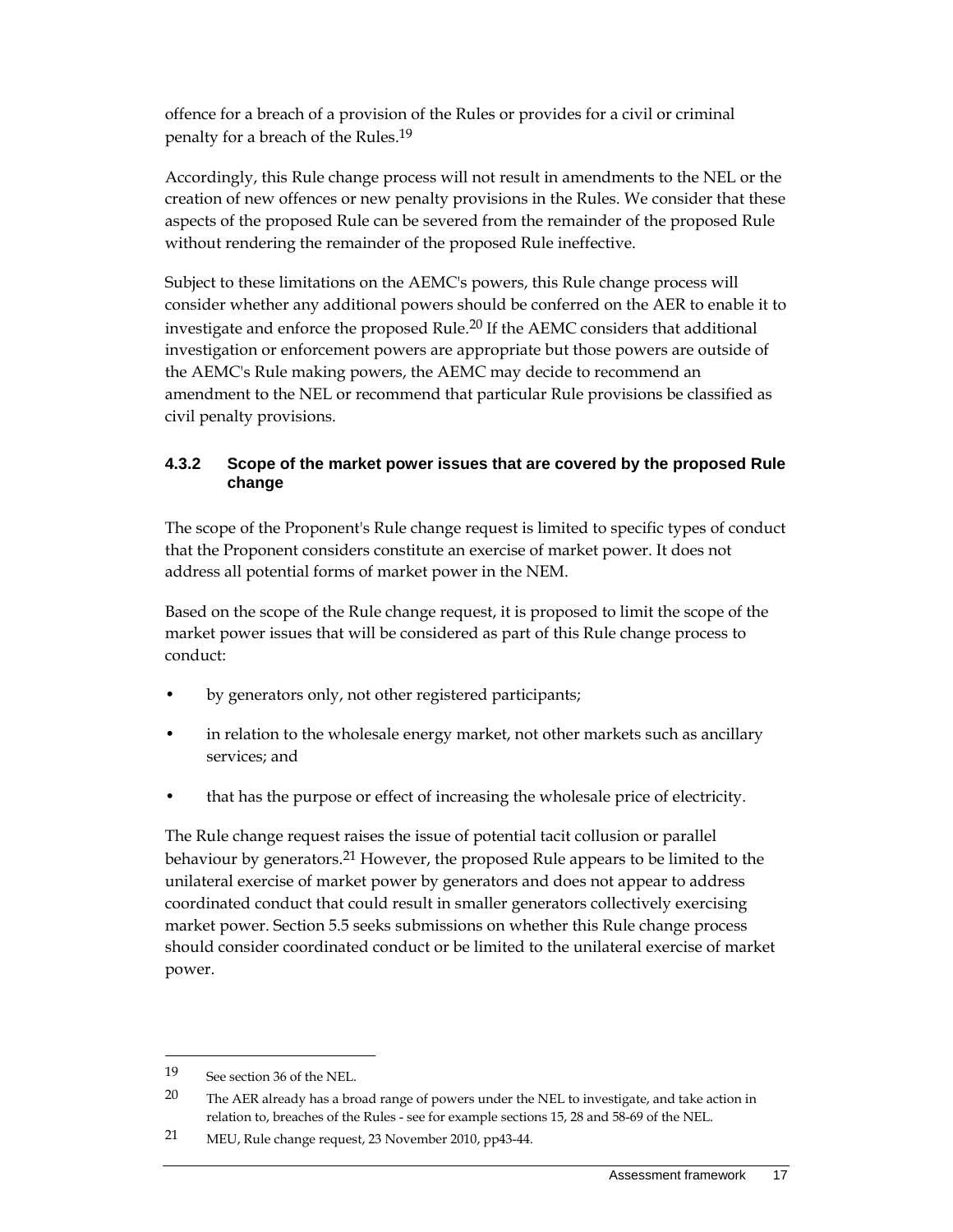offence for a breach of a provision of the Rules or provides for a civil or criminal penalty for a breach of the Rules.19

Accordingly, this Rule change process will not result in amendments to the NEL or the creation of new offences or new penalty provisions in the Rules. We consider that these aspects of the proposed Rule can be severed from the remainder of the proposed Rule without rendering the remainder of the proposed Rule ineffective.

Subject to these limitations on the AEMC's powers, this Rule change process will consider whether any additional powers should be conferred on the AER to enable it to investigate and enforce the proposed Rule.<sup>20</sup> If the AEMC considers that additional investigation or enforcement powers are appropriate but those powers are outside of the AEMC's Rule making powers, the AEMC may decide to recommend an amendment to the NEL or recommend that particular Rule provisions be classified as civil penalty provisions.

#### **4.3.2 Scope of the market power issues that are covered by the proposed Rule change**

The scope of the Proponent's Rule change request is limited to specific types of conduct that the Proponent considers constitute an exercise of market power. It does not address all potential forms of market power in the NEM.

Based on the scope of the Rule change request, it is proposed to limit the scope of the market power issues that will be considered as part of this Rule change process to conduct:

- by generators only, not other registered participants;
- in relation to the wholesale energy market, not other markets such as ancillary services; and
- that has the purpose or effect of increasing the wholesale price of electricity.

The Rule change request raises the issue of potential tacit collusion or parallel behaviour by generators.21 However, the proposed Rule appears to be limited to the unilateral exercise of market power by generators and does not appear to address coordinated conduct that could result in smaller generators collectively exercising market power. Section 5.5 seeks submissions on whether this Rule change process should consider coordinated conduct or be limited to the unilateral exercise of market power.

<sup>19</sup> See section 36 of the NEL.

 $20$  The AER already has a broad range of powers under the NEL to investigate, and take action in relation to, breaches of the Rules - see for example sections 15, 28 and 58-69 of the NEL.

<sup>21</sup> MEU, Rule change request, 23 November 2010, pp43-44.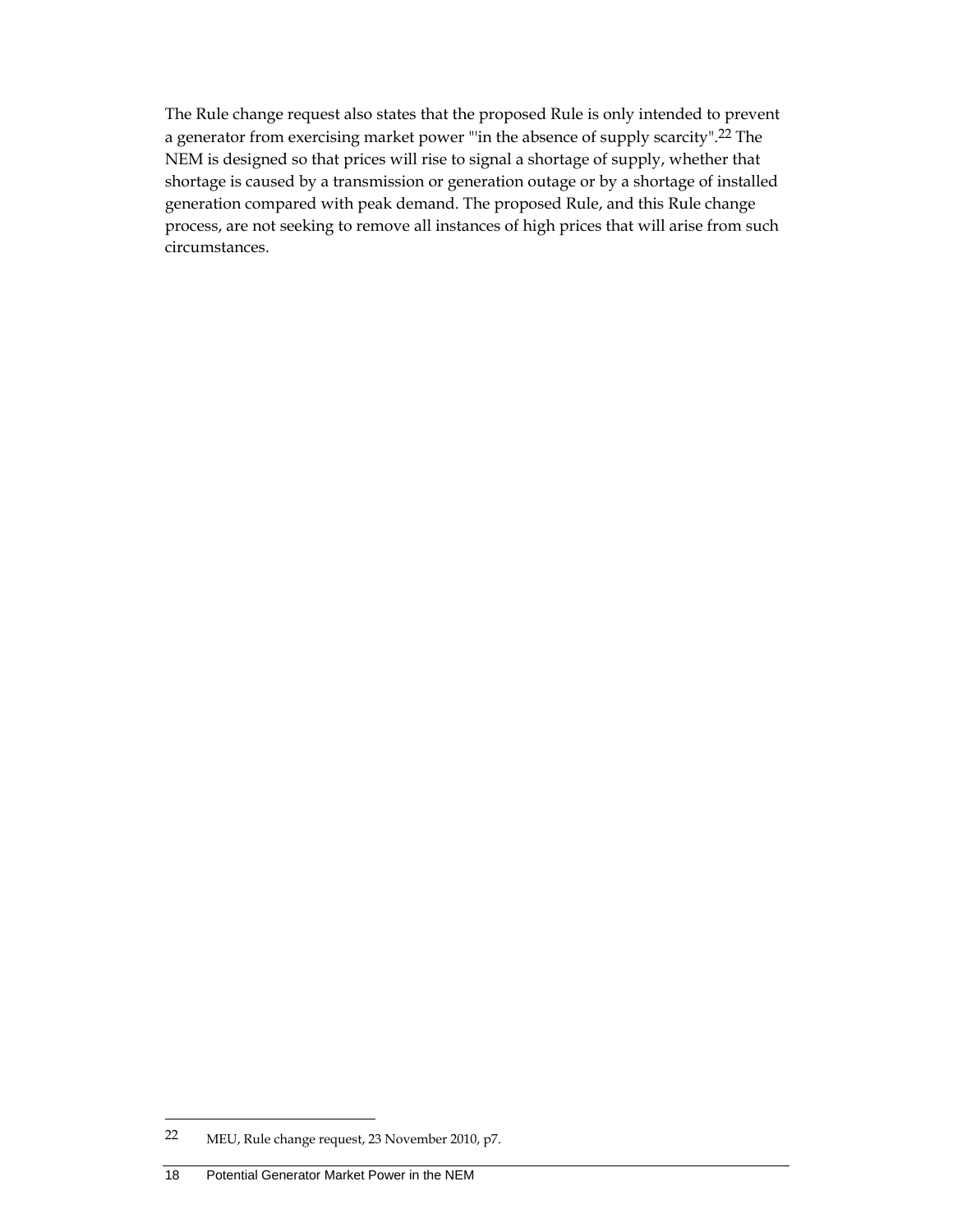The Rule change request also states that the proposed Rule is only intended to prevent a generator from exercising market power "'in the absence of supply scarcity".22 The NEM is designed so that prices will rise to signal a shortage of supply, whether that shortage is caused by a transmission or generation outage or by a shortage of installed generation compared with peak demand. The proposed Rule, and this Rule change process, are not seeking to remove all instances of high prices that will arise from such circumstances.

<sup>22</sup> MEU, Rule change request, 23 November 2010, p7.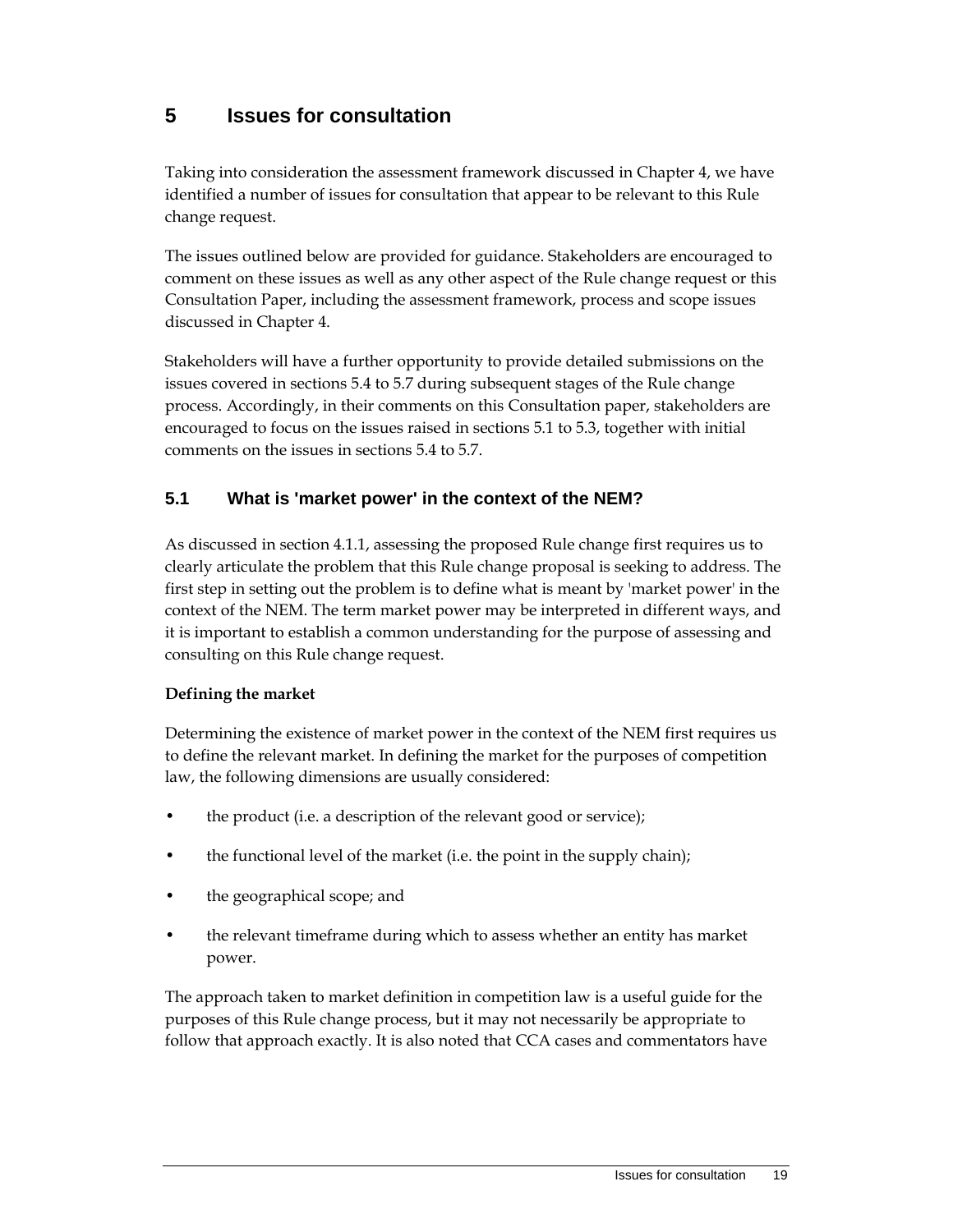## **5 Issues for consultation**

Taking into consideration the assessment framework discussed in Chapter 4, we have identified a number of issues for consultation that appear to be relevant to this Rule change request.

The issues outlined below are provided for guidance. Stakeholders are encouraged to comment on these issues as well as any other aspect of the Rule change request or this Consultation Paper, including the assessment framework, process and scope issues discussed in Chapter 4.

Stakeholders will have a further opportunity to provide detailed submissions on the issues covered in sections 5.4 to 5.7 during subsequent stages of the Rule change process. Accordingly, in their comments on this Consultation paper, stakeholders are encouraged to focus on the issues raised in sections 5.1 to 5.3, together with initial comments on the issues in sections 5.4 to 5.7.

### **5.1 What is 'market power' in the context of the NEM?**

As discussed in section 4.1.1, assessing the proposed Rule change first requires us to clearly articulate the problem that this Rule change proposal is seeking to address. The first step in setting out the problem is to define what is meant by 'market power' in the context of the NEM. The term market power may be interpreted in different ways, and it is important to establish a common understanding for the purpose of assessing and consulting on this Rule change request.

#### **Defining the market**

Determining the existence of market power in the context of the NEM first requires us to define the relevant market. In defining the market for the purposes of competition law, the following dimensions are usually considered:

- the product (i.e. a description of the relevant good or service);
- the functional level of the market (i.e. the point in the supply chain);
- the geographical scope; and
- the relevant timeframe during which to assess whether an entity has market power.

The approach taken to market definition in competition law is a useful guide for the purposes of this Rule change process, but it may not necessarily be appropriate to follow that approach exactly. It is also noted that CCA cases and commentators have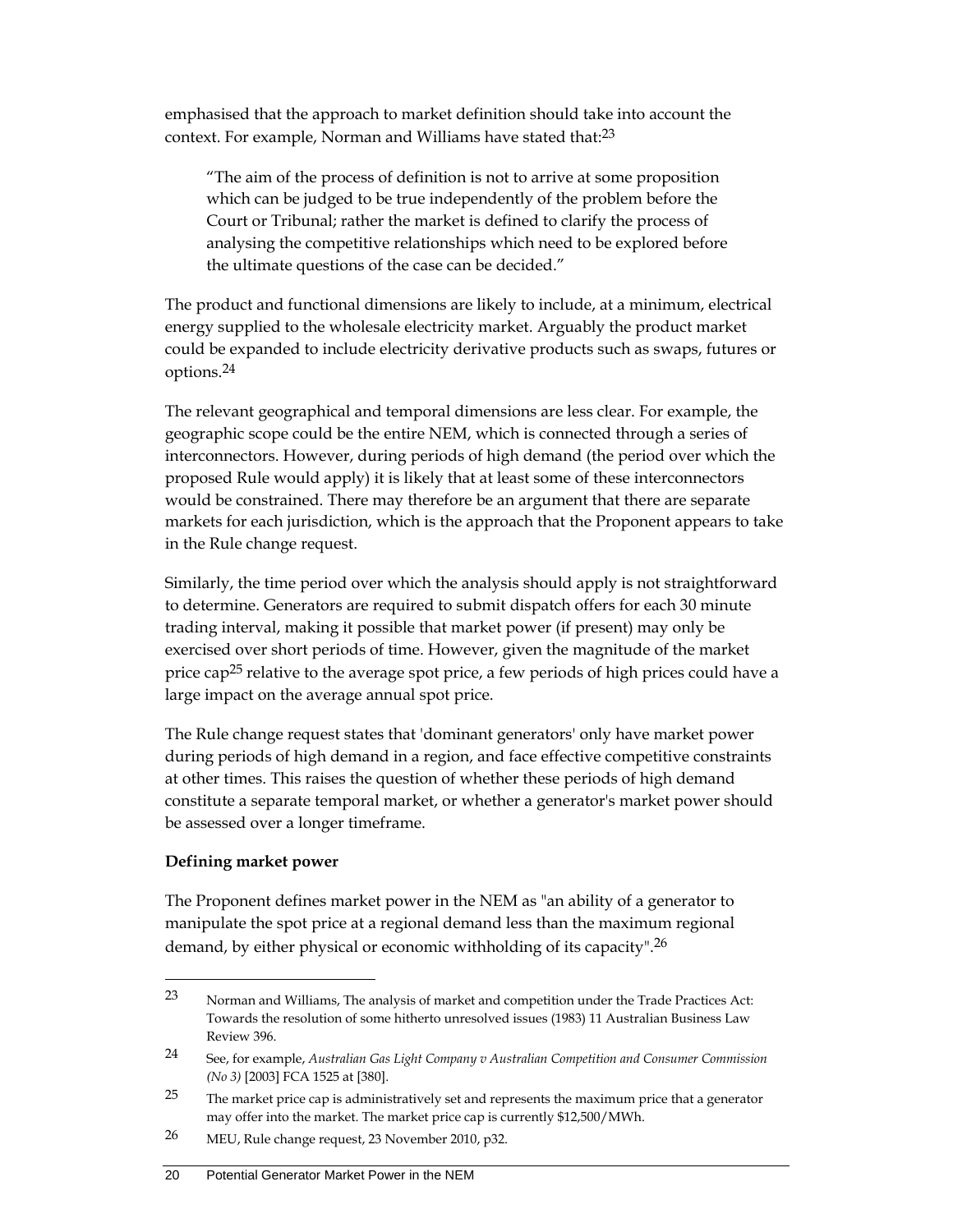emphasised that the approach to market definition should take into account the context. For example, Norman and Williams have stated that:<sup>23</sup>

"The aim of the process of definition is not to arrive at some proposition which can be judged to be true independently of the problem before the Court or Tribunal; rather the market is defined to clarify the process of analysing the competitive relationships which need to be explored before the ultimate questions of the case can be decided."

The product and functional dimensions are likely to include, at a minimum, electrical energy supplied to the wholesale electricity market. Arguably the product market could be expanded to include electricity derivative products such as swaps, futures or options.24

The relevant geographical and temporal dimensions are less clear. For example, the geographic scope could be the entire NEM, which is connected through a series of interconnectors. However, during periods of high demand (the period over which the proposed Rule would apply) it is likely that at least some of these interconnectors would be constrained. There may therefore be an argument that there are separate markets for each jurisdiction, which is the approach that the Proponent appears to take in the Rule change request.

Similarly, the time period over which the analysis should apply is not straightforward to determine. Generators are required to submit dispatch offers for each 30 minute trading interval, making it possible that market power (if present) may only be exercised over short periods of time. However, given the magnitude of the market price cap<sup>25</sup> relative to the average spot price, a few periods of high prices could have a large impact on the average annual spot price.

The Rule change request states that 'dominant generators' only have market power during periods of high demand in a region, and face effective competitive constraints at other times. This raises the question of whether these periods of high demand constitute a separate temporal market, or whether a generator's market power should be assessed over a longer timeframe.

#### **Defining market power**

 $\overline{a}$ 

The Proponent defines market power in the NEM as "an ability of a generator to manipulate the spot price at a regional demand less than the maximum regional demand, by either physical or economic withholding of its capacity".26

<sup>23</sup> Norman and Williams, The analysis of market and competition under the Trade Practices Act: Towards the resolution of some hitherto unresolved issues (1983) 11 Australian Business Law Review 396.

<sup>24</sup> See, for example, *Australian Gas Light Company v Australian Competition and Consumer Commission (No 3)* [2003] FCA 1525 at [380].

<sup>&</sup>lt;sup>25</sup> The market price cap is administratively set and represents the maximum price that a generator may offer into the market. The market price cap is currently \$12,500/MWh.

<sup>26</sup> MEU, Rule change request, 23 November 2010, p32.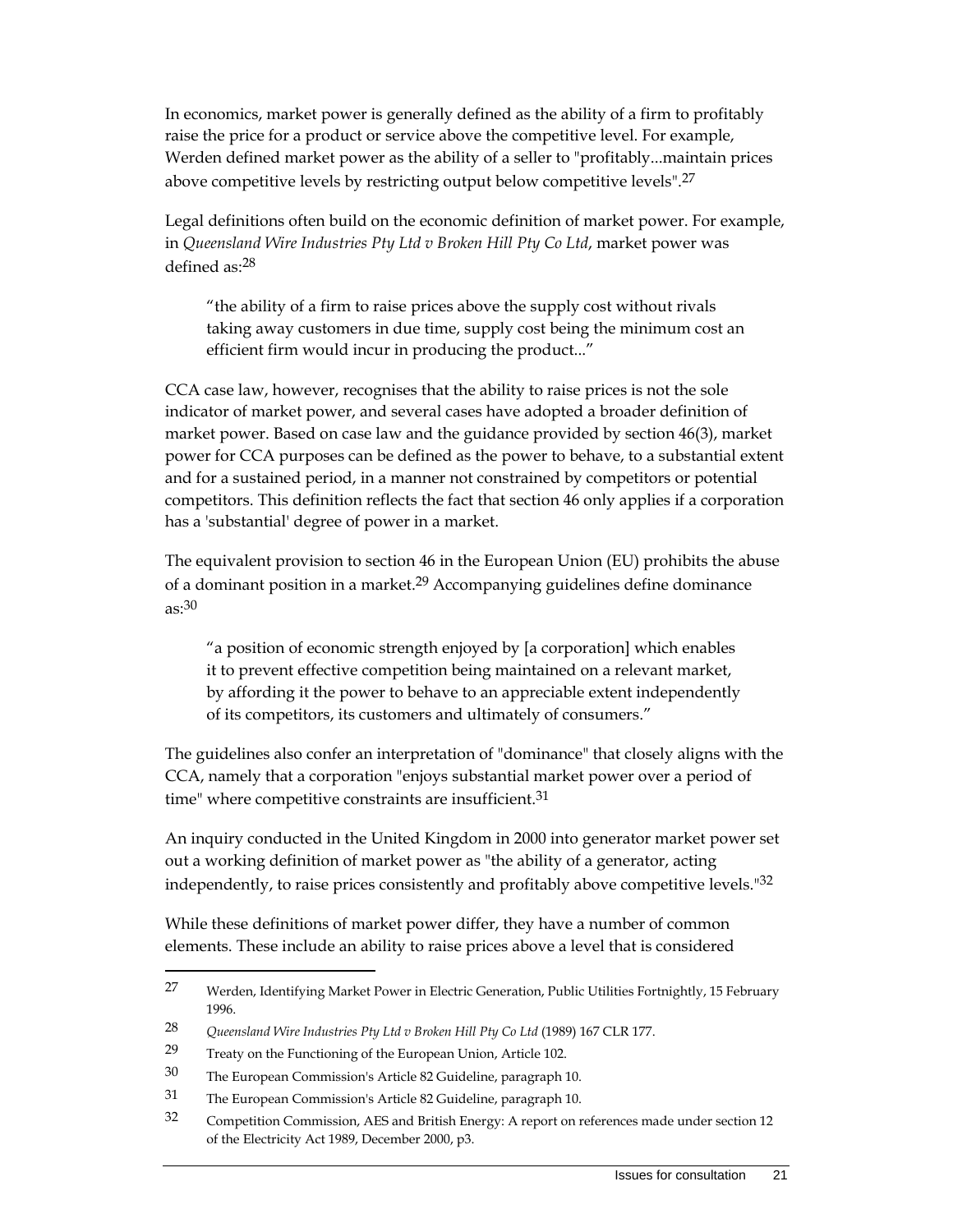In economics, market power is generally defined as the ability of a firm to profitably raise the price for a product or service above the competitive level. For example, Werden defined market power as the ability of a seller to "profitably...maintain prices above competitive levels by restricting output below competitive levels".27

Legal definitions often build on the economic definition of market power. For example, in *Queensland Wire Industries Pty Ltd v Broken Hill Pty Co Ltd*, market power was defined as:28

"the ability of a firm to raise prices above the supply cost without rivals taking away customers in due time, supply cost being the minimum cost an efficient firm would incur in producing the product..."

CCA case law, however, recognises that the ability to raise prices is not the sole indicator of market power, and several cases have adopted a broader definition of market power. Based on case law and the guidance provided by section 46(3), market power for CCA purposes can be defined as the power to behave, to a substantial extent and for a sustained period, in a manner not constrained by competitors or potential competitors. This definition reflects the fact that section 46 only applies if a corporation has a 'substantial' degree of power in a market.

The equivalent provision to section 46 in the European Union (EU) prohibits the abuse of a dominant position in a market.<sup>29</sup> Accompanying guidelines define dominance as:30

"a position of economic strength enjoyed by [a corporation] which enables it to prevent effective competition being maintained on a relevant market, by affording it the power to behave to an appreciable extent independently of its competitors, its customers and ultimately of consumers."

The guidelines also confer an interpretation of "dominance" that closely aligns with the CCA, namely that a corporation "enjoys substantial market power over a period of time" where competitive constraints are insufficient.<sup>31</sup>

An inquiry conducted in the United Kingdom in 2000 into generator market power set out a working definition of market power as "the ability of a generator, acting independently, to raise prices consistently and profitably above competitive levels."32

While these definitions of market power differ, they have a number of common elements. These include an ability to raise prices above a level that is considered

<sup>27</sup> Werden, Identifying Market Power in Electric Generation, Public Utilities Fortnightly, 15 February 1996.

<sup>28</sup> *Queensland Wire Industries Pty Ltd v Broken Hill Pty Co Ltd* (1989) 167 CLR 177.

<sup>29</sup> Treaty on the Functioning of the European Union, Article 102.

<sup>30</sup> The European Commission's Article 82 Guideline, paragraph 10.

<sup>31</sup> The European Commission's Article 82 Guideline, paragraph 10.

<sup>32</sup> Competition Commission, AES and British Energy: A report on references made under section 12 of the Electricity Act 1989, December 2000, p3.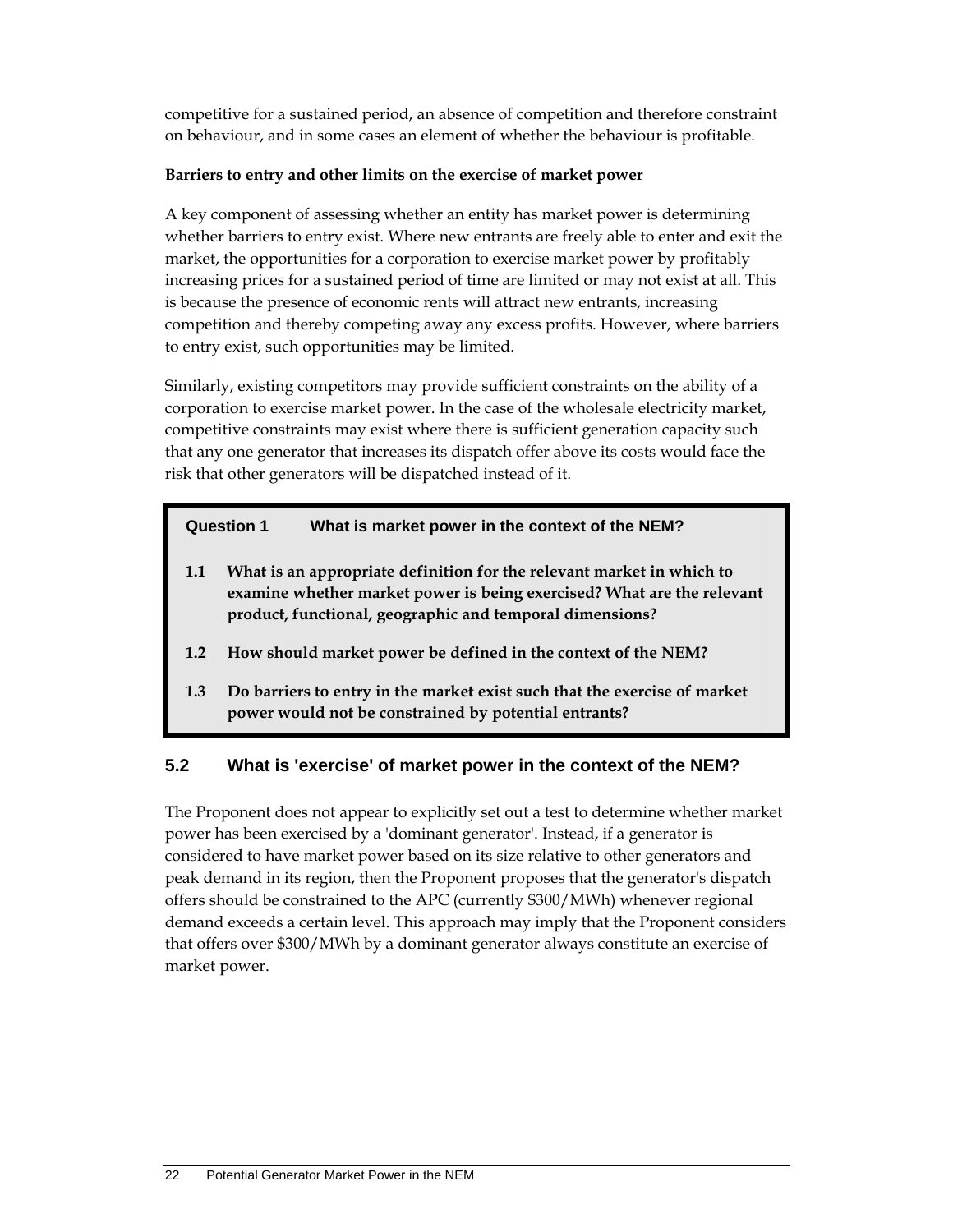competitive for a sustained period, an absence of competition and therefore constraint on behaviour, and in some cases an element of whether the behaviour is profitable.

#### **Barriers to entry and other limits on the exercise of market power**

A key component of assessing whether an entity has market power is determining whether barriers to entry exist. Where new entrants are freely able to enter and exit the market, the opportunities for a corporation to exercise market power by profitably increasing prices for a sustained period of time are limited or may not exist at all. This is because the presence of economic rents will attract new entrants, increasing competition and thereby competing away any excess profits. However, where barriers to entry exist, such opportunities may be limited.

Similarly, existing competitors may provide sufficient constraints on the ability of a corporation to exercise market power. In the case of the wholesale electricity market, competitive constraints may exist where there is sufficient generation capacity such that any one generator that increases its dispatch offer above its costs would face the risk that other generators will be dispatched instead of it.

#### **Question 1 What is market power in the context of the NEM?**

- **1.1 What is an appropriate definition for the relevant market in which to examine whether market power is being exercised? What are the relevant product, functional, geographic and temporal dimensions?**
- **1.2 How should market power be defined in the context of the NEM?**
- **1.3 Do barriers to entry in the market exist such that the exercise of market power would not be constrained by potential entrants?**

#### **5.2 What is 'exercise' of market power in the context of the NEM?**

The Proponent does not appear to explicitly set out a test to determine whether market power has been exercised by a 'dominant generator'. Instead, if a generator is considered to have market power based on its size relative to other generators and peak demand in its region, then the Proponent proposes that the generator's dispatch offers should be constrained to the APC (currently \$300/MWh) whenever regional demand exceeds a certain level. This approach may imply that the Proponent considers that offers over \$300/MWh by a dominant generator always constitute an exercise of market power.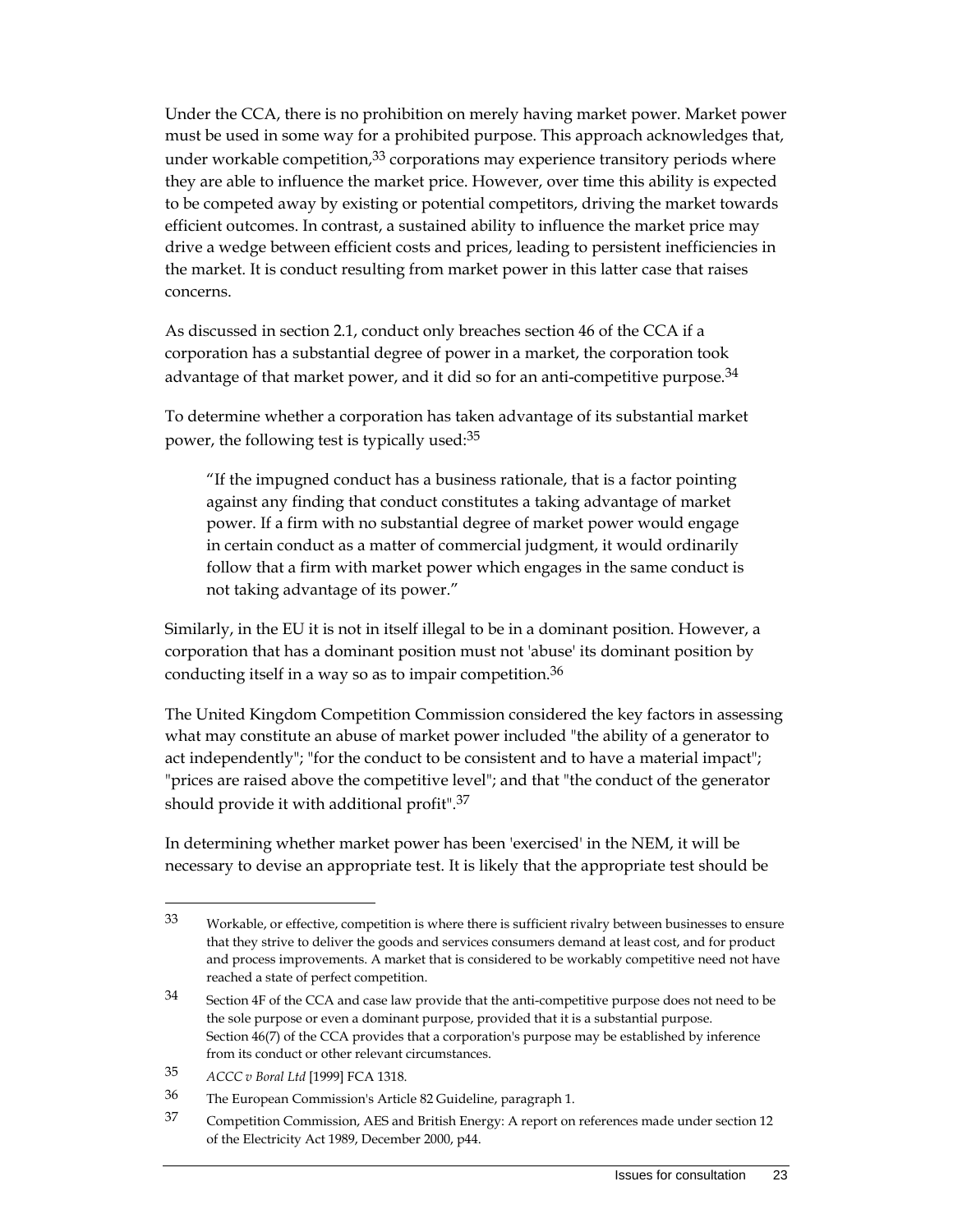Under the CCA, there is no prohibition on merely having market power. Market power must be used in some way for a prohibited purpose. This approach acknowledges that, under workable competition, $33$  corporations may experience transitory periods where they are able to influence the market price. However, over time this ability is expected to be competed away by existing or potential competitors, driving the market towards efficient outcomes. In contrast, a sustained ability to influence the market price may drive a wedge between efficient costs and prices, leading to persistent inefficiencies in the market. It is conduct resulting from market power in this latter case that raises concerns.

As discussed in section 2.1, conduct only breaches section 46 of the CCA if a corporation has a substantial degree of power in a market, the corporation took advantage of that market power, and it did so for an anti-competitive purpose.<sup>34</sup>

To determine whether a corporation has taken advantage of its substantial market power, the following test is typically used:35

"If the impugned conduct has a business rationale, that is a factor pointing against any finding that conduct constitutes a taking advantage of market power. If a firm with no substantial degree of market power would engage in certain conduct as a matter of commercial judgment, it would ordinarily follow that a firm with market power which engages in the same conduct is not taking advantage of its power."

Similarly, in the EU it is not in itself illegal to be in a dominant position. However, a corporation that has a dominant position must not 'abuse' its dominant position by conducting itself in a way so as to impair competition.<sup>36</sup>

The United Kingdom Competition Commission considered the key factors in assessing what may constitute an abuse of market power included "the ability of a generator to act independently"; "for the conduct to be consistent and to have a material impact"; "prices are raised above the competitive level"; and that "the conduct of the generator should provide it with additional profit".37

In determining whether market power has been 'exercised' in the NEM, it will be necessary to devise an appropriate test. It is likely that the appropriate test should be

<sup>33</sup> Workable, or effective, competition is where there is sufficient rivalry between businesses to ensure that they strive to deliver the goods and services consumers demand at least cost, and for product and process improvements. A market that is considered to be workably competitive need not have reached a state of perfect competition.

<sup>34</sup> Section 4F of the CCA and case law provide that the anti-competitive purpose does not need to be the sole purpose or even a dominant purpose, provided that it is a substantial purpose. Section 46(7) of the CCA provides that a corporation's purpose may be established by inference from its conduct or other relevant circumstances.

<sup>35</sup> *ACCC v Boral Ltd* [1999] FCA 1318.

<sup>36</sup> The European Commission's Article 82 Guideline, paragraph 1.

<sup>37</sup> Competition Commission, AES and British Energy: A report on references made under section 12 of the Electricity Act 1989, December 2000, p44.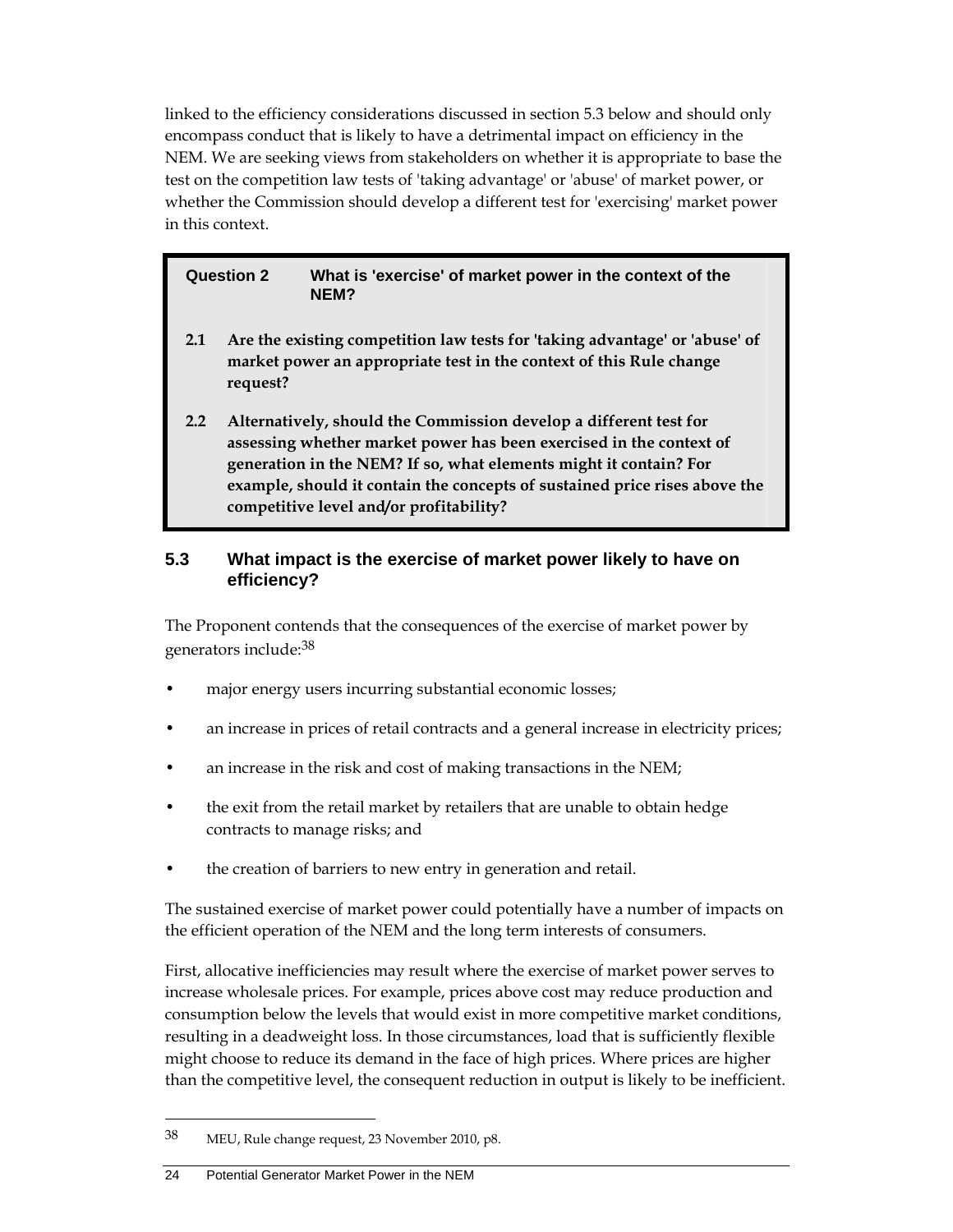linked to the efficiency considerations discussed in section 5.3 below and should only encompass conduct that is likely to have a detrimental impact on efficiency in the NEM. We are seeking views from stakeholders on whether it is appropriate to base the test on the competition law tests of 'taking advantage' or 'abuse' of market power, or whether the Commission should develop a different test for 'exercising' market power in this context.

#### **Question 2 What is 'exercise' of market power in the context of the NEM?**

- **2.1 Are the existing competition law tests for 'taking advantage' or 'abuse' of market power an appropriate test in the context of this Rule change request?**
- **2.2 Alternatively, should the Commission develop a different test for assessing whether market power has been exercised in the context of generation in the NEM? If so, what elements might it contain? For example, should it contain the concepts of sustained price rises above the competitive level and/or profitability?**

#### **5.3 What impact is the exercise of market power likely to have on efficiency?**

The Proponent contends that the consequences of the exercise of market power by generators include:38

- major energy users incurring substantial economic losses;
- an increase in prices of retail contracts and a general increase in electricity prices;
- an increase in the risk and cost of making transactions in the NEM;
- the exit from the retail market by retailers that are unable to obtain hedge contracts to manage risks; and
- the creation of barriers to new entry in generation and retail.

The sustained exercise of market power could potentially have a number of impacts on the efficient operation of the NEM and the long term interests of consumers.

First, allocative inefficiencies may result where the exercise of market power serves to increase wholesale prices. For example, prices above cost may reduce production and consumption below the levels that would exist in more competitive market conditions, resulting in a deadweight loss. In those circumstances, load that is sufficiently flexible might choose to reduce its demand in the face of high prices. Where prices are higher than the competitive level, the consequent reduction in output is likely to be inefficient.

<sup>38</sup> MEU, Rule change request, 23 November 2010, p8.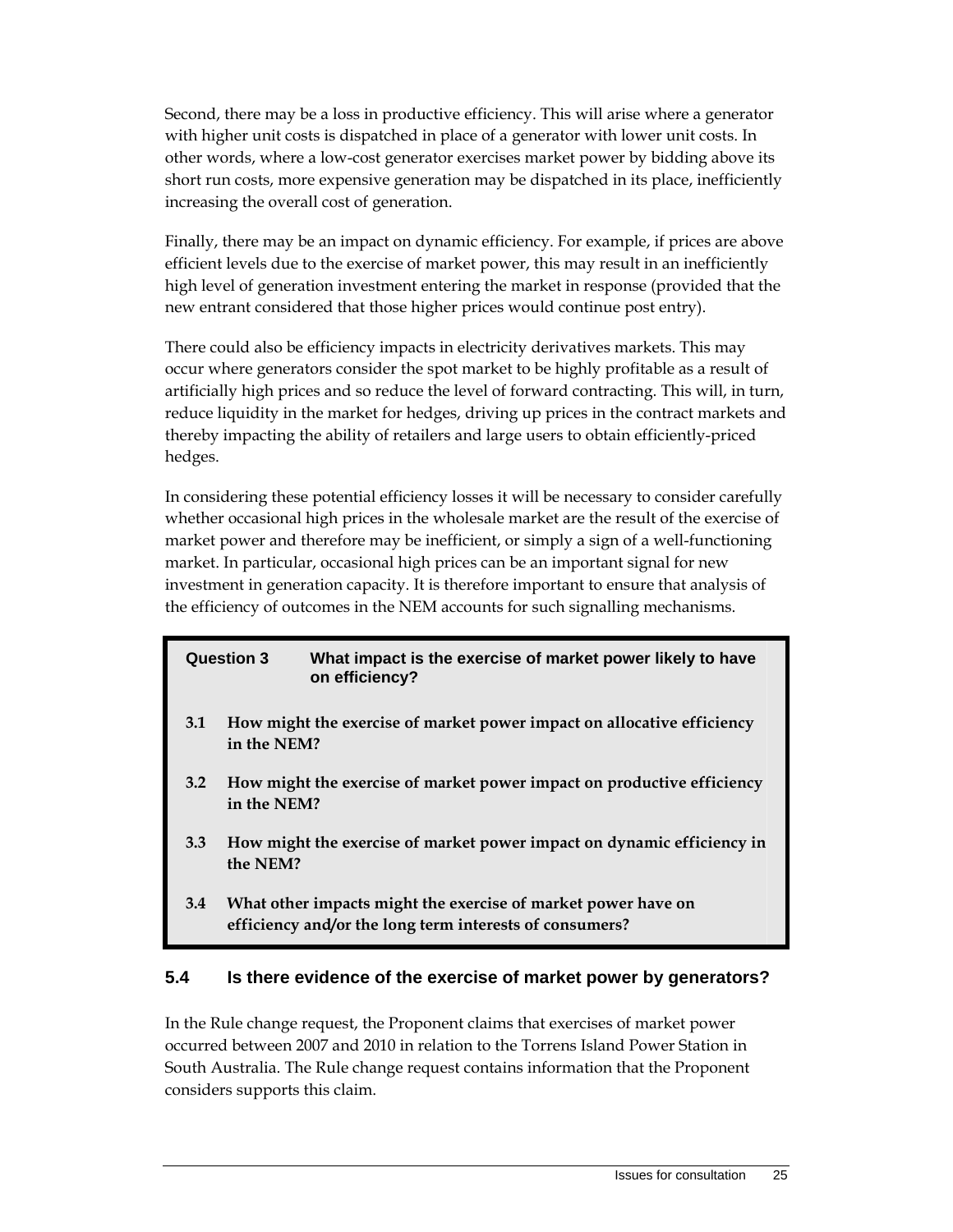Second, there may be a loss in productive efficiency. This will arise where a generator with higher unit costs is dispatched in place of a generator with lower unit costs. In other words, where a low-cost generator exercises market power by bidding above its short run costs, more expensive generation may be dispatched in its place, inefficiently increasing the overall cost of generation.

Finally, there may be an impact on dynamic efficiency. For example, if prices are above efficient levels due to the exercise of market power, this may result in an inefficiently high level of generation investment entering the market in response (provided that the new entrant considered that those higher prices would continue post entry).

There could also be efficiency impacts in electricity derivatives markets. This may occur where generators consider the spot market to be highly profitable as a result of artificially high prices and so reduce the level of forward contracting. This will, in turn, reduce liquidity in the market for hedges, driving up prices in the contract markets and thereby impacting the ability of retailers and large users to obtain efficiently-priced hedges.

In considering these potential efficiency losses it will be necessary to consider carefully whether occasional high prices in the wholesale market are the result of the exercise of market power and therefore may be inefficient, or simply a sign of a well-functioning market. In particular, occasional high prices can be an important signal for new investment in generation capacity. It is therefore important to ensure that analysis of the efficiency of outcomes in the NEM accounts for such signalling mechanisms.

| <b>Question 3</b> |                                                                                       | What impact is the exercise of market power likely to have<br>on efficiency? |
|-------------------|---------------------------------------------------------------------------------------|------------------------------------------------------------------------------|
| 3.1               | How might the exercise of market power impact on allocative efficiency<br>in the NEM? |                                                                              |
| 3.2               | in the NEM?                                                                           | How might the exercise of market power impact on productive efficiency       |
| 3.3               | the NEM?                                                                              | How might the exercise of market power impact on dynamic efficiency in       |
| 3.4               |                                                                                       | What other impacts might the exercise of market power have on                |

**efficiency and/or the long term interests of consumers?** 

#### **5.4 Is there evidence of the exercise of market power by generators?**

In the Rule change request, the Proponent claims that exercises of market power occurred between 2007 and 2010 in relation to the Torrens Island Power Station in South Australia. The Rule change request contains information that the Proponent considers supports this claim.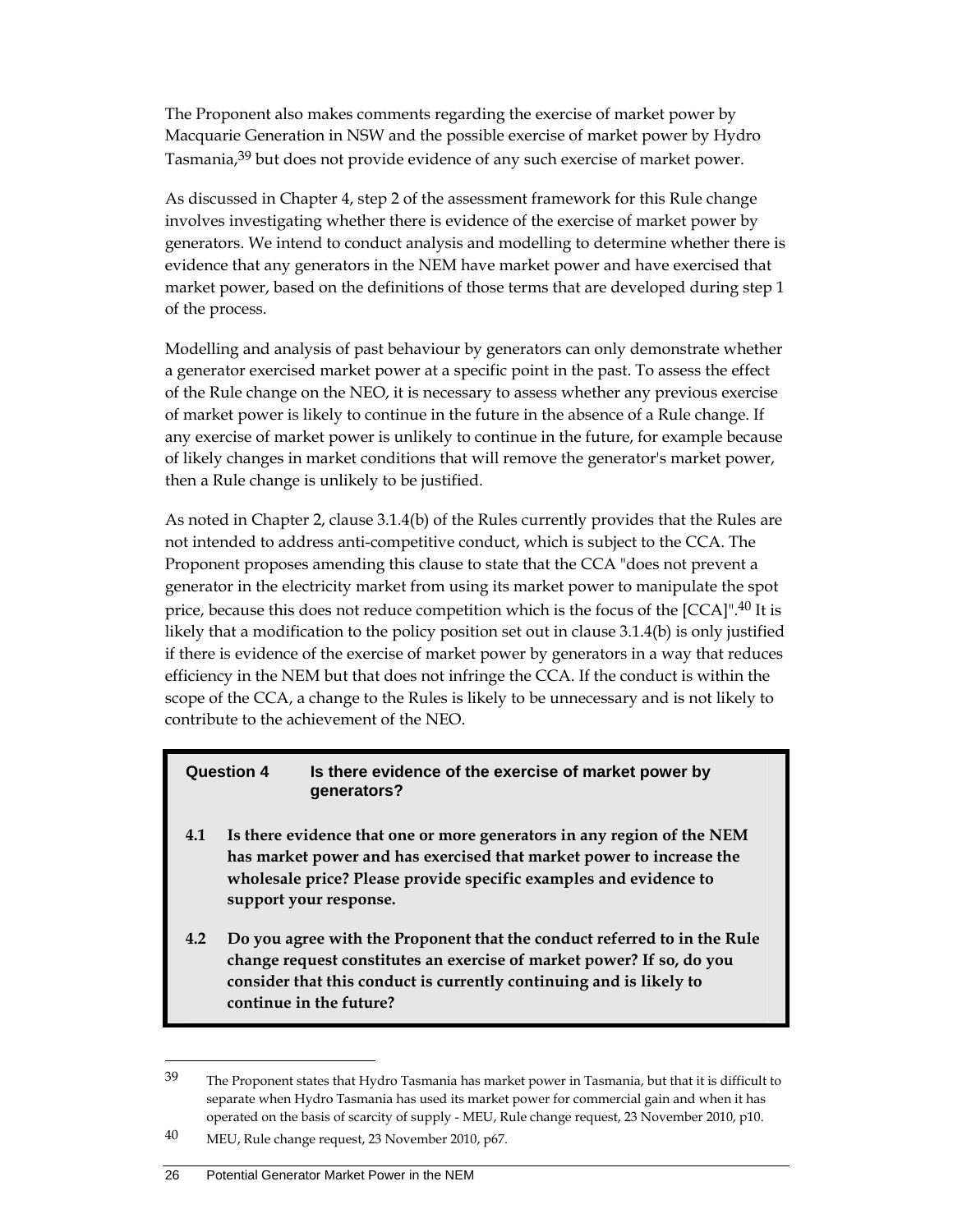The Proponent also makes comments regarding the exercise of market power by Macquarie Generation in NSW and the possible exercise of market power by Hydro Tasmania,<sup>39</sup> but does not provide evidence of any such exercise of market power.

As discussed in Chapter 4, step 2 of the assessment framework for this Rule change involves investigating whether there is evidence of the exercise of market power by generators. We intend to conduct analysis and modelling to determine whether there is evidence that any generators in the NEM have market power and have exercised that market power, based on the definitions of those terms that are developed during step 1 of the process.

Modelling and analysis of past behaviour by generators can only demonstrate whether a generator exercised market power at a specific point in the past. To assess the effect of the Rule change on the NEO, it is necessary to assess whether any previous exercise of market power is likely to continue in the future in the absence of a Rule change. If any exercise of market power is unlikely to continue in the future, for example because of likely changes in market conditions that will remove the generator's market power, then a Rule change is unlikely to be justified.

As noted in Chapter 2, clause 3.1.4(b) of the Rules currently provides that the Rules are not intended to address anti-competitive conduct, which is subject to the CCA. The Proponent proposes amending this clause to state that the CCA "does not prevent a generator in the electricity market from using its market power to manipulate the spot price, because this does not reduce competition which is the focus of the  $[CCA]$ <sup>",40</sup> It is likely that a modification to the policy position set out in clause 3.1.4(b) is only justified if there is evidence of the exercise of market power by generators in a way that reduces efficiency in the NEM but that does not infringe the CCA. If the conduct is within the scope of the CCA, a change to the Rules is likely to be unnecessary and is not likely to contribute to the achievement of the NEO.

#### **Question 4 Is there evidence of the exercise of market power by generators?**

- **4.1 Is there evidence that one or more generators in any region of the NEM has market power and has exercised that market power to increase the wholesale price? Please provide specific examples and evidence to support your response.**
- **4.2 Do you agree with the Proponent that the conduct referred to in the Rule change request constitutes an exercise of market power? If so, do you consider that this conduct is currently continuing and is likely to continue in the future?**

#### 26 Potential Generator Market Power in the NEM

 $39$  The Proponent states that Hydro Tasmania has market power in Tasmania, but that it is difficult to separate when Hydro Tasmania has used its market power for commercial gain and when it has operated on the basis of scarcity of supply - MEU, Rule change request, 23 November 2010, p10.

<sup>40</sup> MEU, Rule change request, 23 November 2010, p67.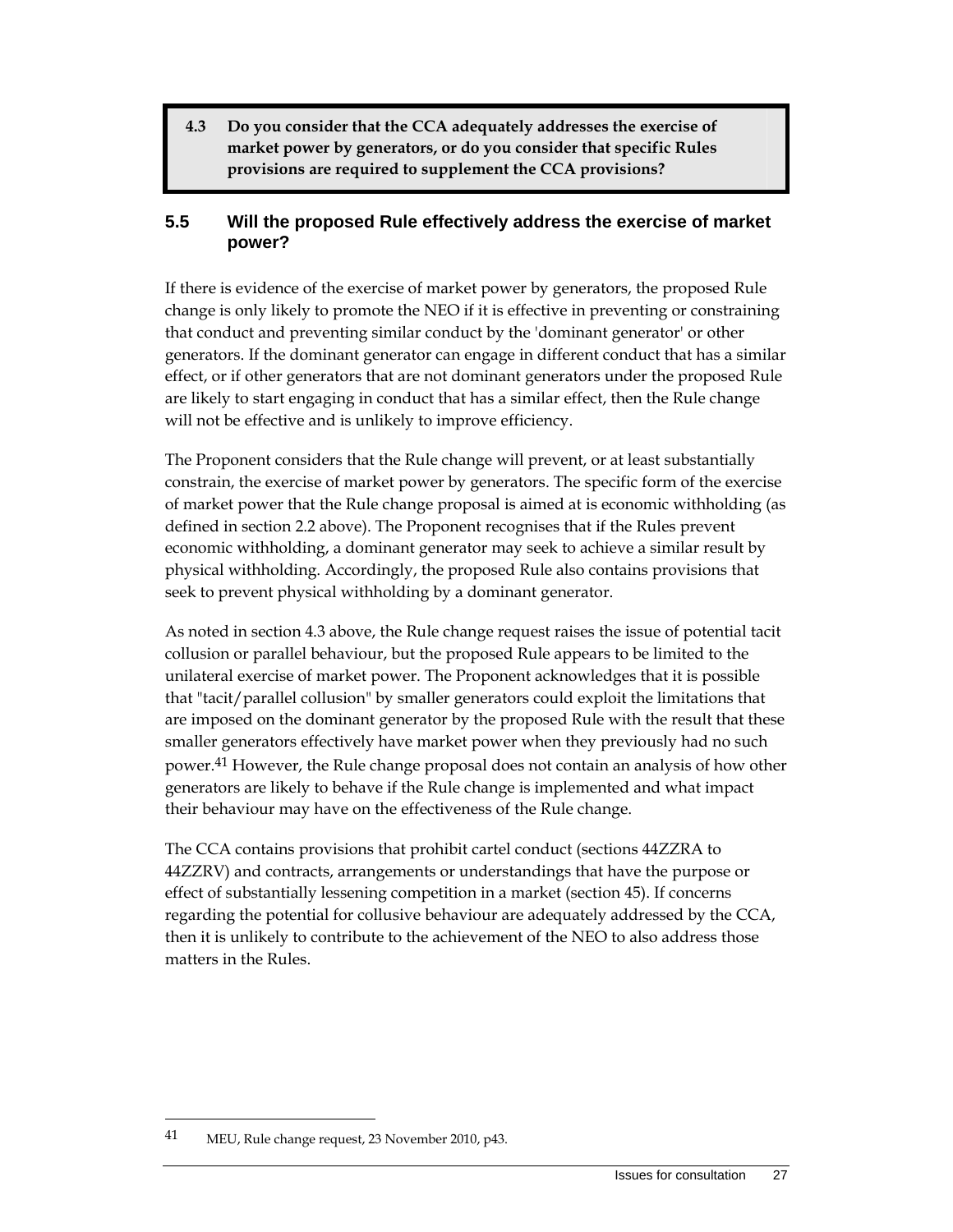**4.3 Do you consider that the CCA adequately addresses the exercise of market power by generators, or do you consider that specific Rules provisions are required to supplement the CCA provisions?** 

#### **5.5 Will the proposed Rule effectively address the exercise of market power?**

If there is evidence of the exercise of market power by generators, the proposed Rule change is only likely to promote the NEO if it is effective in preventing or constraining that conduct and preventing similar conduct by the 'dominant generator' or other generators. If the dominant generator can engage in different conduct that has a similar effect, or if other generators that are not dominant generators under the proposed Rule are likely to start engaging in conduct that has a similar effect, then the Rule change will not be effective and is unlikely to improve efficiency.

The Proponent considers that the Rule change will prevent, or at least substantially constrain, the exercise of market power by generators. The specific form of the exercise of market power that the Rule change proposal is aimed at is economic withholding (as defined in section 2.2 above). The Proponent recognises that if the Rules prevent economic withholding, a dominant generator may seek to achieve a similar result by physical withholding. Accordingly, the proposed Rule also contains provisions that seek to prevent physical withholding by a dominant generator.

As noted in section 4.3 above, the Rule change request raises the issue of potential tacit collusion or parallel behaviour, but the proposed Rule appears to be limited to the unilateral exercise of market power. The Proponent acknowledges that it is possible that "tacit/parallel collusion" by smaller generators could exploit the limitations that are imposed on the dominant generator by the proposed Rule with the result that these smaller generators effectively have market power when they previously had no such power.41 However, the Rule change proposal does not contain an analysis of how other generators are likely to behave if the Rule change is implemented and what impact their behaviour may have on the effectiveness of the Rule change.

The CCA contains provisions that prohibit cartel conduct (sections 44ZZRA to 44ZZRV) and contracts, arrangements or understandings that have the purpose or effect of substantially lessening competition in a market (section 45). If concerns regarding the potential for collusive behaviour are adequately addressed by the CCA, then it is unlikely to contribute to the achievement of the NEO to also address those matters in the Rules.

<sup>41</sup> MEU, Rule change request, 23 November 2010, p43.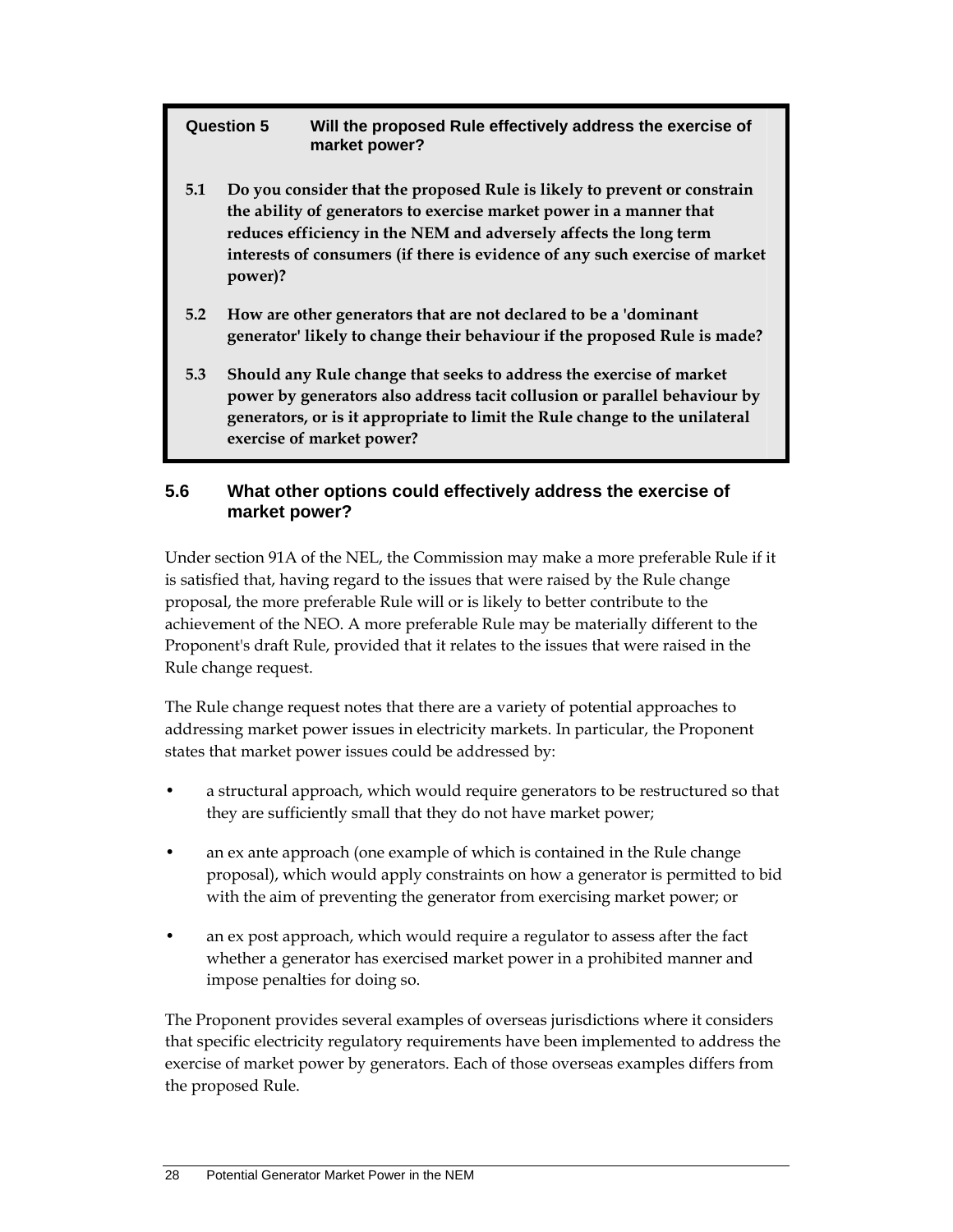**Question 5 Will the proposed Rule effectively address the exercise of market power?** 

- **5.1 Do you consider that the proposed Rule is likely to prevent or constrain the ability of generators to exercise market power in a manner that reduces efficiency in the NEM and adversely affects the long term interests of consumers (if there is evidence of any such exercise of market power)?**
- **5.2 How are other generators that are not declared to be a 'dominant generator' likely to change their behaviour if the proposed Rule is made?**
- **5.3 Should any Rule change that seeks to address the exercise of market power by generators also address tacit collusion or parallel behaviour by generators, or is it appropriate to limit the Rule change to the unilateral exercise of market power?**

### **5.6 What other options could effectively address the exercise of market power?**

Under section 91A of the NEL, the Commission may make a more preferable Rule if it is satisfied that, having regard to the issues that were raised by the Rule change proposal, the more preferable Rule will or is likely to better contribute to the achievement of the NEO. A more preferable Rule may be materially different to the Proponent's draft Rule, provided that it relates to the issues that were raised in the Rule change request.

The Rule change request notes that there are a variety of potential approaches to addressing market power issues in electricity markets. In particular, the Proponent states that market power issues could be addressed by:

- a structural approach, which would require generators to be restructured so that they are sufficiently small that they do not have market power;
- an ex ante approach (one example of which is contained in the Rule change proposal), which would apply constraints on how a generator is permitted to bid with the aim of preventing the generator from exercising market power; or
- an ex post approach, which would require a regulator to assess after the fact whether a generator has exercised market power in a prohibited manner and impose penalties for doing so.

The Proponent provides several examples of overseas jurisdictions where it considers that specific electricity regulatory requirements have been implemented to address the exercise of market power by generators. Each of those overseas examples differs from the proposed Rule.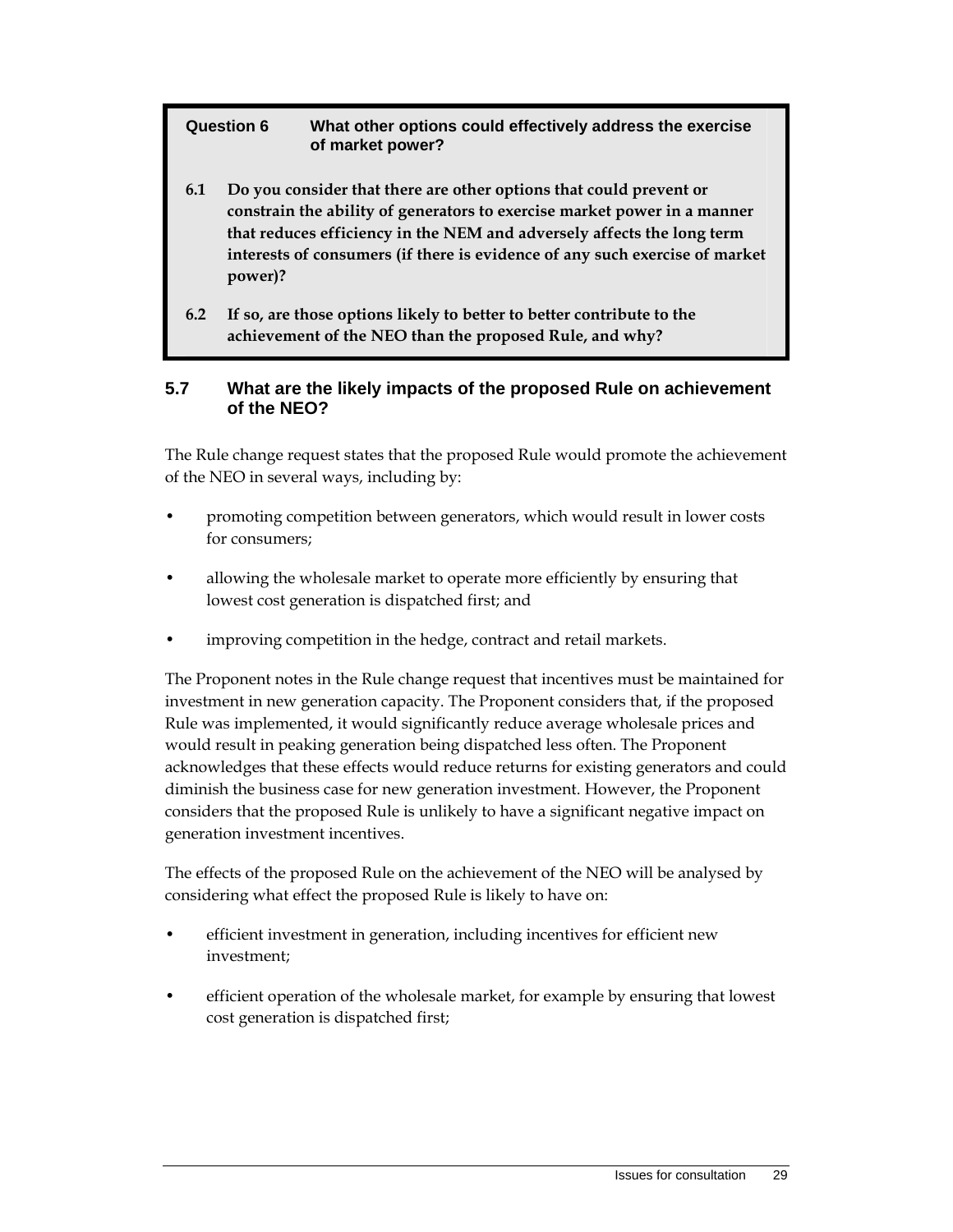#### **Question 6 What other options could effectively address the exercise of market power?**

- **6.1 Do you consider that there are other options that could prevent or constrain the ability of generators to exercise market power in a manner that reduces efficiency in the NEM and adversely affects the long term interests of consumers (if there is evidence of any such exercise of market power)?**
- **6.2 If so, are those options likely to better to better contribute to the achievement of the NEO than the proposed Rule, and why?**

#### **5.7 What are the likely impacts of the proposed Rule on achievement of the NEO?**

The Rule change request states that the proposed Rule would promote the achievement of the NEO in several ways, including by:

- promoting competition between generators, which would result in lower costs for consumers;
- allowing the wholesale market to operate more efficiently by ensuring that lowest cost generation is dispatched first; and
- improving competition in the hedge, contract and retail markets.

The Proponent notes in the Rule change request that incentives must be maintained for investment in new generation capacity. The Proponent considers that, if the proposed Rule was implemented, it would significantly reduce average wholesale prices and would result in peaking generation being dispatched less often. The Proponent acknowledges that these effects would reduce returns for existing generators and could diminish the business case for new generation investment. However, the Proponent considers that the proposed Rule is unlikely to have a significant negative impact on generation investment incentives.

The effects of the proposed Rule on the achievement of the NEO will be analysed by considering what effect the proposed Rule is likely to have on:

- efficient investment in generation, including incentives for efficient new investment;
- efficient operation of the wholesale market, for example by ensuring that lowest cost generation is dispatched first;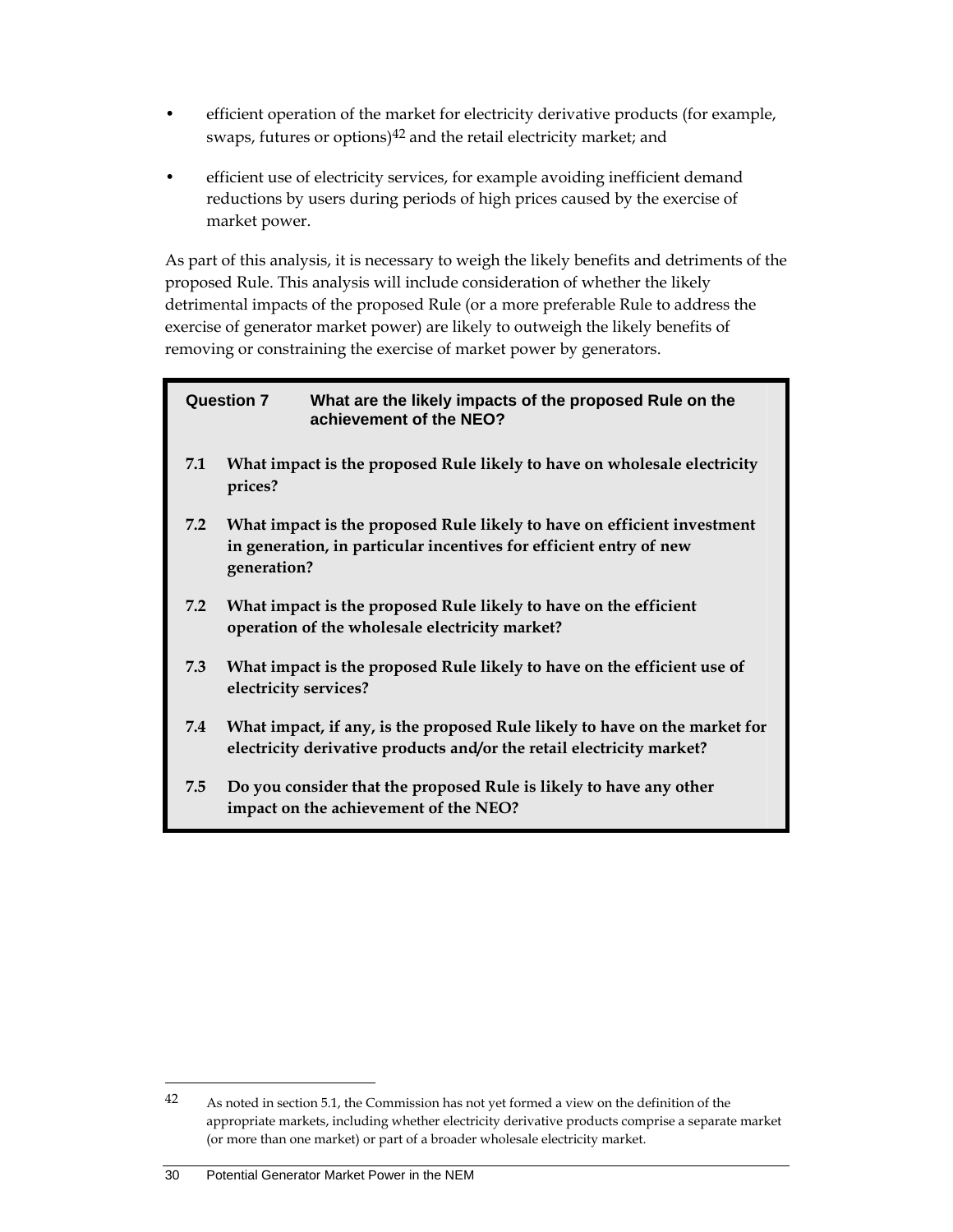- efficient operation of the market for electricity derivative products (for example, swaps, futures or options) $42$  and the retail electricity market; and
- efficient use of electricity services, for example avoiding inefficient demand reductions by users during periods of high prices caused by the exercise of market power.

As part of this analysis, it is necessary to weigh the likely benefits and detriments of the proposed Rule. This analysis will include consideration of whether the likely detrimental impacts of the proposed Rule (or a more preferable Rule to address the exercise of generator market power) are likely to outweigh the likely benefits of removing or constraining the exercise of market power by generators.

#### **Question 7 What are the likely impacts of the proposed Rule on the achievement of the NEO?**

- **7.1 What impact is the proposed Rule likely to have on wholesale electricity prices?**
- **7.2 What impact is the proposed Rule likely to have on efficient investment in generation, in particular incentives for efficient entry of new generation?**
- **7.2 What impact is the proposed Rule likely to have on the efficient operation of the wholesale electricity market?**
- **7.3 What impact is the proposed Rule likely to have on the efficient use of electricity services?**
- **7.4 What impact, if any, is the proposed Rule likely to have on the market for electricity derivative products and/or the retail electricity market?**
- **7.5 Do you consider that the proposed Rule is likely to have any other impact on the achievement of the NEO?**

<sup>42</sup> As noted in section 5.1, the Commission has not yet formed a view on the definition of the appropriate markets, including whether electricity derivative products comprise a separate market (or more than one market) or part of a broader wholesale electricity market.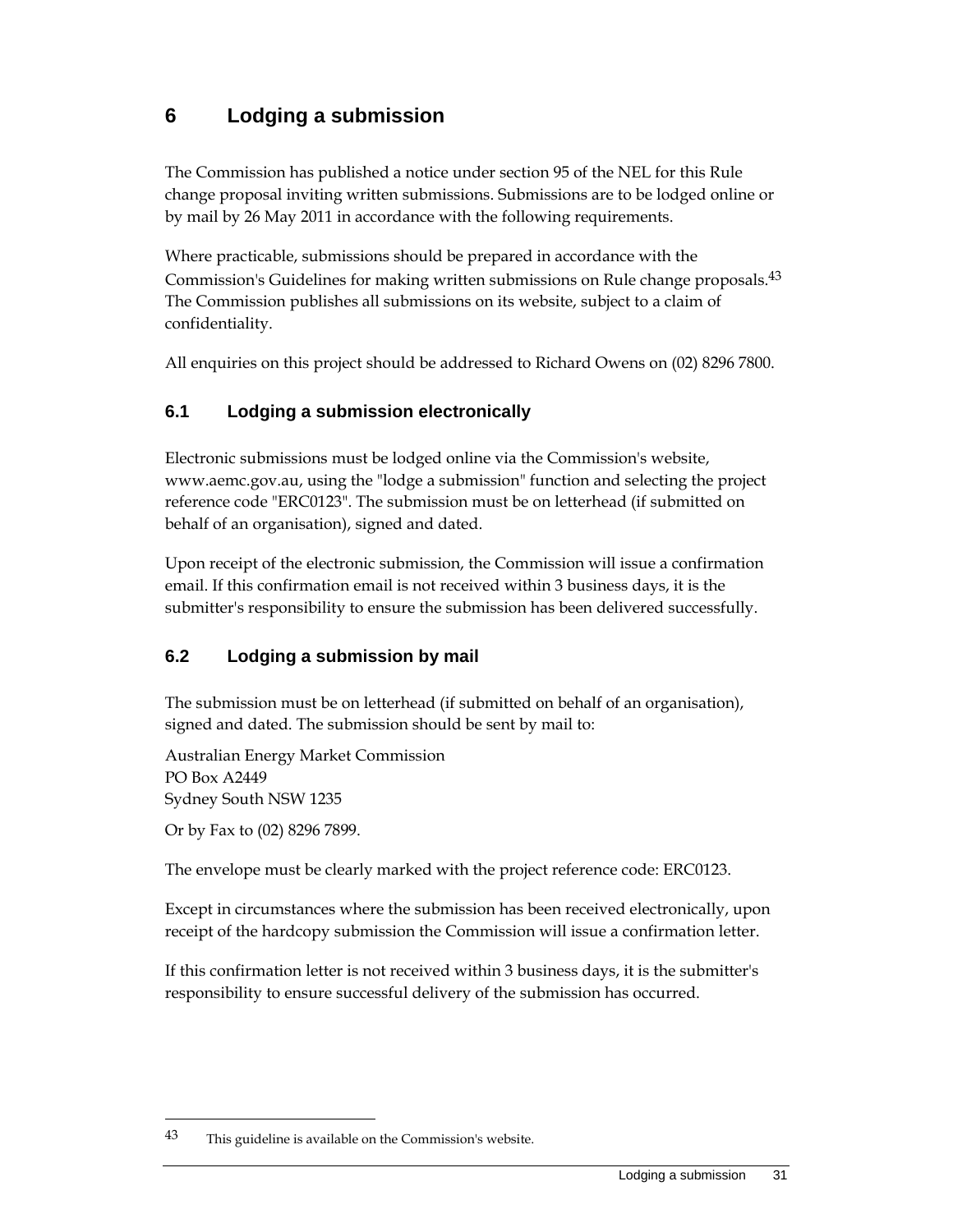## **6 Lodging a submission**

The Commission has published a notice under section 95 of the NEL for this Rule change proposal inviting written submissions. Submissions are to be lodged online or by mail by 26 May 2011 in accordance with the following requirements.

Where practicable, submissions should be prepared in accordance with the Commission's Guidelines for making written submissions on Rule change proposals.43 The Commission publishes all submissions on its website, subject to a claim of confidentiality.

All enquiries on this project should be addressed to Richard Owens on (02) 8296 7800.

### **6.1 Lodging a submission electronically**

Electronic submissions must be lodged online via the Commission's website, www.aemc.gov.au, using the "lodge a submission" function and selecting the project reference code "ERC0123". The submission must be on letterhead (if submitted on behalf of an organisation), signed and dated.

Upon receipt of the electronic submission, the Commission will issue a confirmation email. If this confirmation email is not received within 3 business days, it is the submitter's responsibility to ensure the submission has been delivered successfully.

## **6.2 Lodging a submission by mail**

The submission must be on letterhead (if submitted on behalf of an organisation), signed and dated. The submission should be sent by mail to:

Australian Energy Market Commission PO Box A2449 Sydney South NSW 1235 Or by Fax to (02) 8296 7899.

The envelope must be clearly marked with the project reference code: ERC0123.

Except in circumstances where the submission has been received electronically, upon receipt of the hardcopy submission the Commission will issue a confirmation letter.

If this confirmation letter is not received within 3 business days, it is the submitter's responsibility to ensure successful delivery of the submission has occurred.

 $43$  This guideline is available on the Commission's website.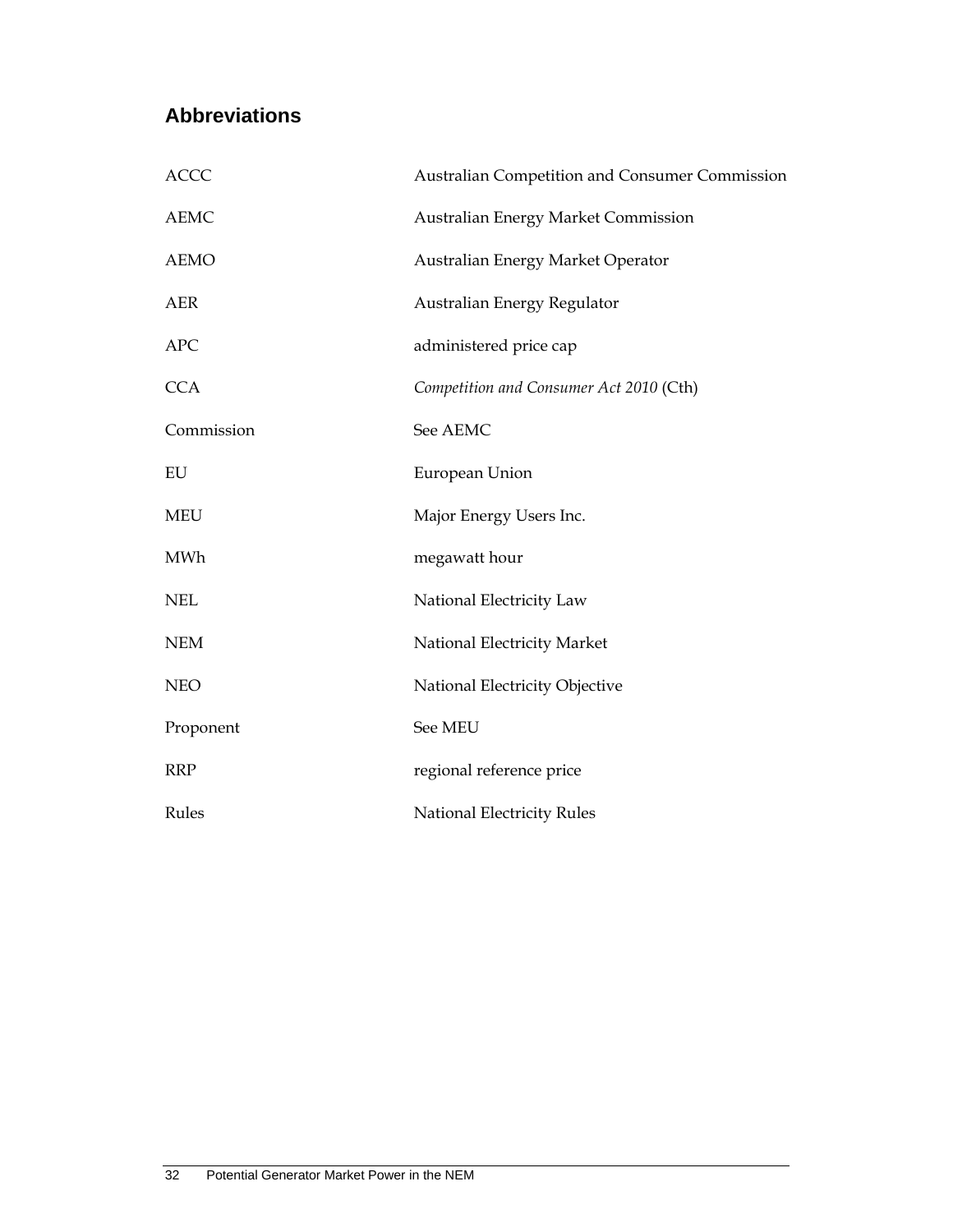## **Abbreviations**

| <b>ACCC</b> | Australian Competition and Consumer Commission |
|-------------|------------------------------------------------|
| <b>AEMC</b> | Australian Energy Market Commission            |
| <b>AEMO</b> | Australian Energy Market Operator              |
| <b>AER</b>  | Australian Energy Regulator                    |
| <b>APC</b>  | administered price cap                         |
| <b>CCA</b>  | Competition and Consumer Act 2010 (Cth)        |
| Commission  | See AEMC                                       |
| EU          | European Union                                 |
| <b>MEU</b>  | Major Energy Users Inc.                        |
| <b>MWh</b>  | megawatt hour                                  |
| <b>NEL</b>  | National Electricity Law                       |
| <b>NEM</b>  | National Electricity Market                    |
| <b>NEO</b>  | National Electricity Objective                 |
| Proponent   | See MEU                                        |
| <b>RRP</b>  | regional reference price                       |
| Rules       | National Electricity Rules                     |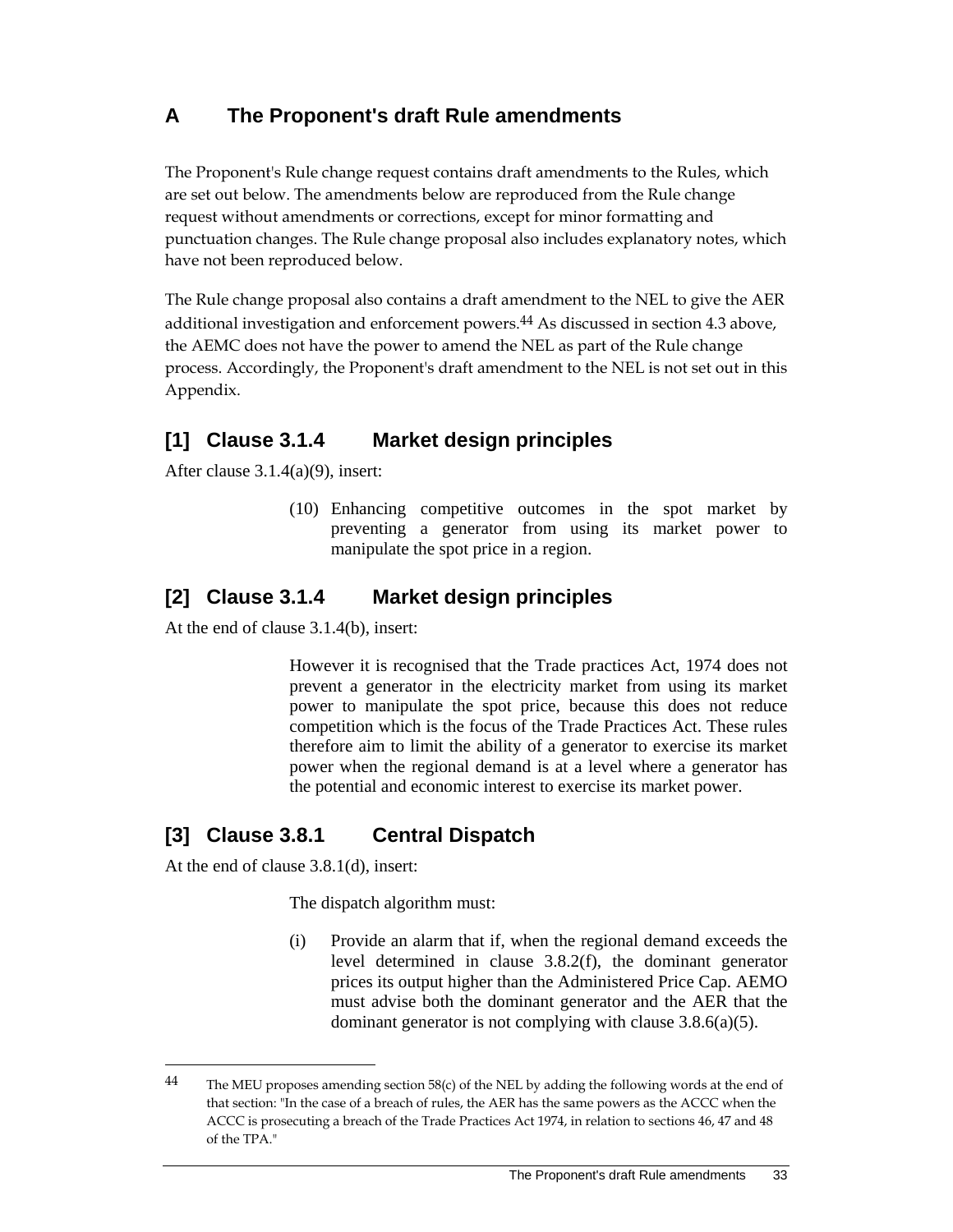## **A The Proponent's draft Rule amendments**

The Proponent's Rule change request contains draft amendments to the Rules, which are set out below. The amendments below are reproduced from the Rule change request without amendments or corrections, except for minor formatting and punctuation changes. The Rule change proposal also includes explanatory notes, which have not been reproduced below.

The Rule change proposal also contains a draft amendment to the NEL to give the AER additional investigation and enforcement powers.<sup>44</sup> As discussed in section 4.3 above, the AEMC does not have the power to amend the NEL as part of the Rule change process. Accordingly, the Proponent's draft amendment to the NEL is not set out in this Appendix.

## **[1] Clause 3.1.4 Market design principles**

After clause 3.1.4(a)(9), insert:

(10) Enhancing competitive outcomes in the spot market by preventing a generator from using its market power to manipulate the spot price in a region.

## **[2] Clause 3.1.4 Market design principles**

At the end of clause 3.1.4(b), insert:

 However it is recognised that the Trade practices Act, 1974 does not prevent a generator in the electricity market from using its market power to manipulate the spot price, because this does not reduce competition which is the focus of the Trade Practices Act. These rules therefore aim to limit the ability of a generator to exercise its market power when the regional demand is at a level where a generator has the potential and economic interest to exercise its market power.

## **[3] Clause 3.8.1 Central Dispatch**

At the end of clause 3.8.1(d), insert:

 $\overline{a}$ 

The dispatch algorithm must:

(i) Provide an alarm that if, when the regional demand exceeds the level determined in clause 3.8.2(f), the dominant generator prices its output higher than the Administered Price Cap. AEMO must advise both the dominant generator and the AER that the dominant generator is not complying with clause 3.8.6(a)(5).

<sup>44</sup> The MEU proposes amending section 58(c) of the NEL by adding the following words at the end of that section: "In the case of a breach of rules, the AER has the same powers as the ACCC when the ACCC is prosecuting a breach of the Trade Practices Act 1974, in relation to sections 46, 47 and 48 of the TPA."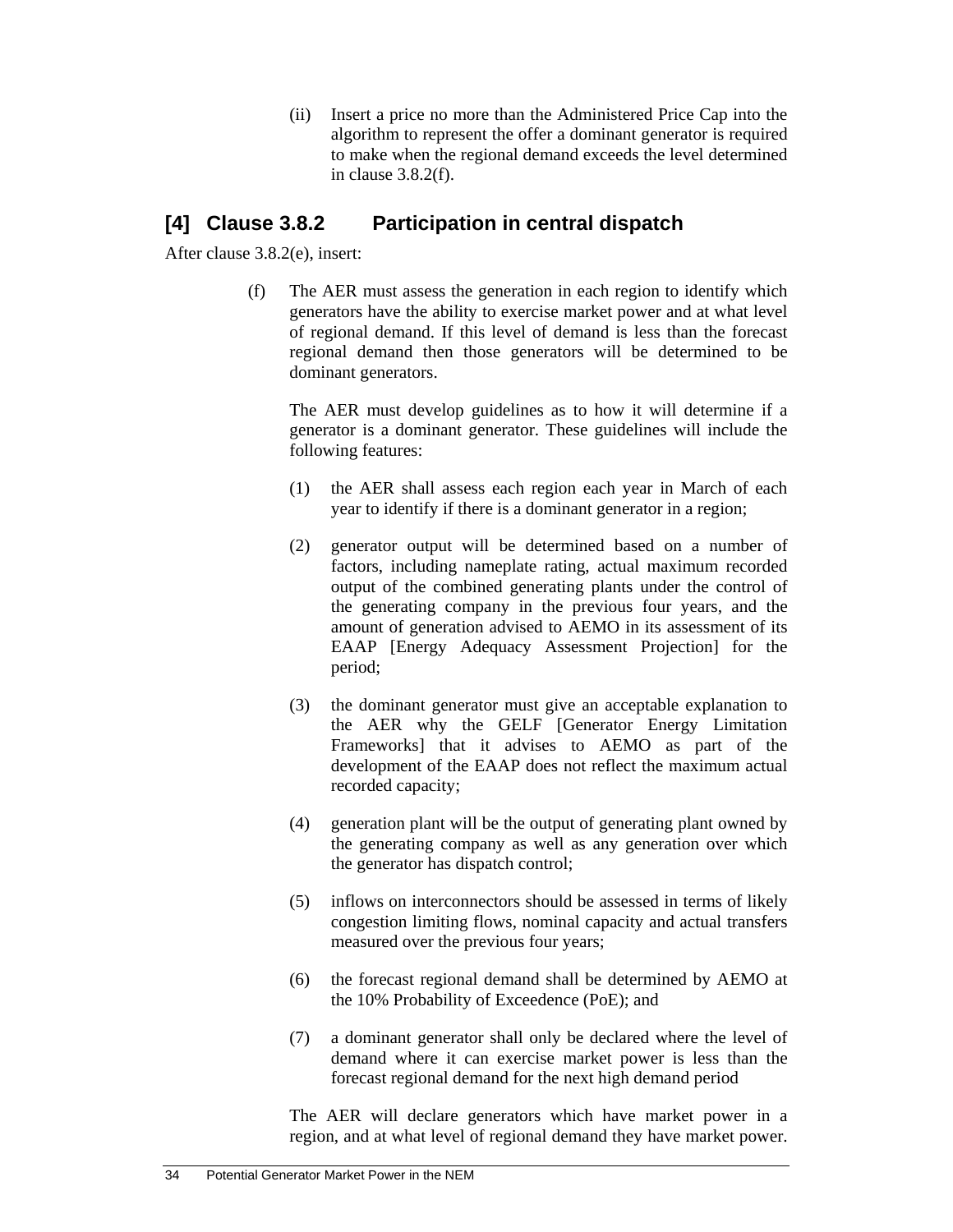(ii) Insert a price no more than the Administered Price Cap into the algorithm to represent the offer a dominant generator is required to make when the regional demand exceeds the level determined in clause 3.8.2(f).

## **[4] Clause 3.8.2 Participation in central dispatch**

After clause 3.8.2(e), insert:

(f) The AER must assess the generation in each region to identify which generators have the ability to exercise market power and at what level of regional demand. If this level of demand is less than the forecast regional demand then those generators will be determined to be dominant generators.

The AER must develop guidelines as to how it will determine if a generator is a dominant generator. These guidelines will include the following features:

- (1) the AER shall assess each region each year in March of each year to identify if there is a dominant generator in a region;
- (2) generator output will be determined based on a number of factors, including nameplate rating, actual maximum recorded output of the combined generating plants under the control of the generating company in the previous four years, and the amount of generation advised to AEMO in its assessment of its EAAP [Energy Adequacy Assessment Projection] for the period;
- (3) the dominant generator must give an acceptable explanation to the AER why the GELF [Generator Energy Limitation Frameworks] that it advises to AEMO as part of the development of the EAAP does not reflect the maximum actual recorded capacity;
- (4) generation plant will be the output of generating plant owned by the generating company as well as any generation over which the generator has dispatch control;
- (5) inflows on interconnectors should be assessed in terms of likely congestion limiting flows, nominal capacity and actual transfers measured over the previous four years;
- (6) the forecast regional demand shall be determined by AEMO at the 10% Probability of Exceedence (PoE); and
- (7) a dominant generator shall only be declared where the level of demand where it can exercise market power is less than the forecast regional demand for the next high demand period

The AER will declare generators which have market power in a region, and at what level of regional demand they have market power.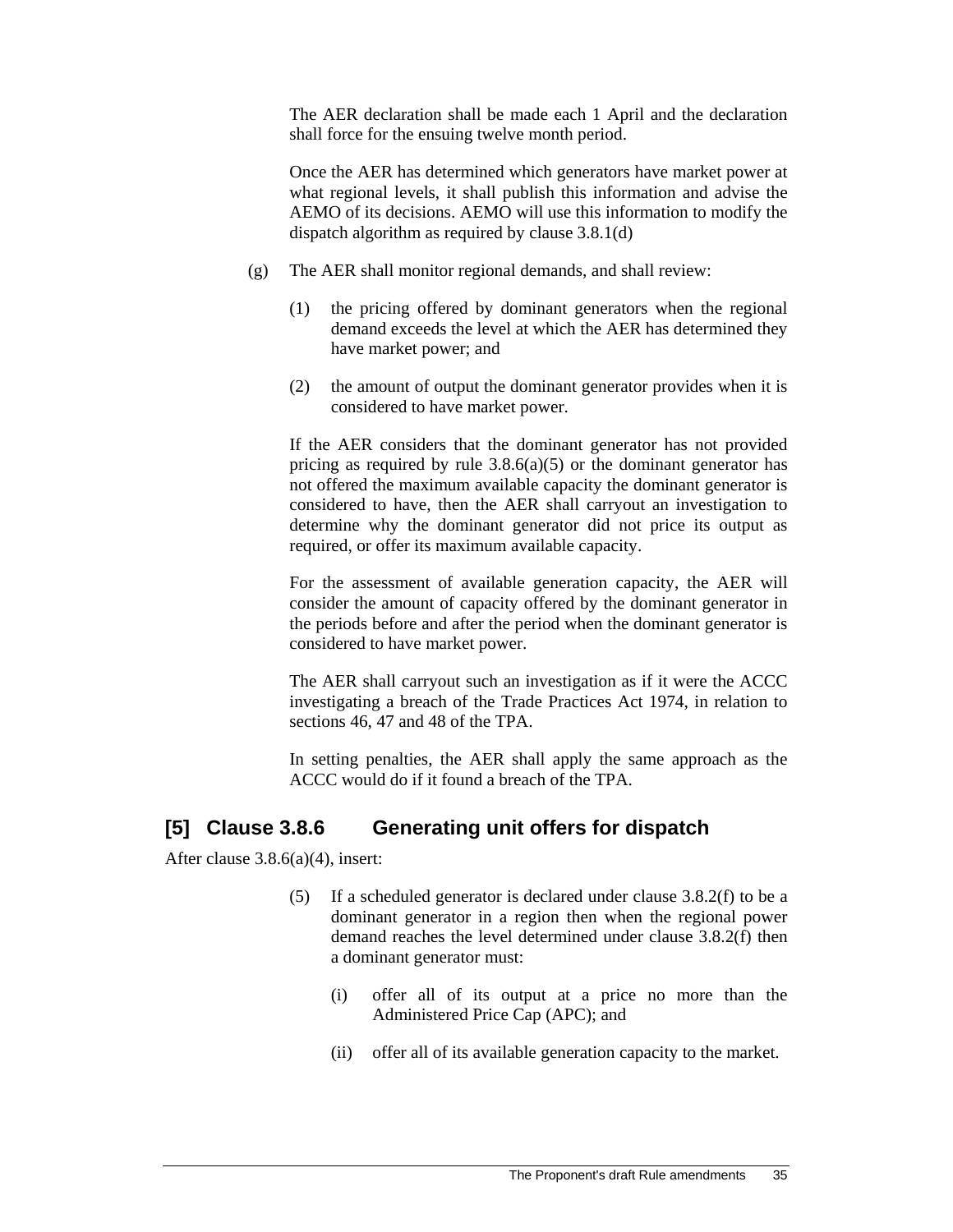The AER declaration shall be made each 1 April and the declaration shall force for the ensuing twelve month period.

Once the AER has determined which generators have market power at what regional levels, it shall publish this information and advise the AEMO of its decisions. AEMO will use this information to modify the dispatch algorithm as required by clause 3.8.1(d)

- (g) The AER shall monitor regional demands, and shall review:
	- (1) the pricing offered by dominant generators when the regional demand exceeds the level at which the AER has determined they have market power; and
	- (2) the amount of output the dominant generator provides when it is considered to have market power.

If the AER considers that the dominant generator has not provided pricing as required by rule  $3.8.6(a)(5)$  or the dominant generator has not offered the maximum available capacity the dominant generator is considered to have, then the AER shall carryout an investigation to determine why the dominant generator did not price its output as required, or offer its maximum available capacity.

For the assessment of available generation capacity, the AER will consider the amount of capacity offered by the dominant generator in the periods before and after the period when the dominant generator is considered to have market power.

The AER shall carryout such an investigation as if it were the ACCC investigating a breach of the Trade Practices Act 1974, in relation to sections 46, 47 and 48 of the TPA.

In setting penalties, the AER shall apply the same approach as the ACCC would do if it found a breach of the TPA.

## **[5] Clause 3.8.6 Generating unit offers for dispatch**

After clause 3.8.6(a)(4), insert:

- (5) If a scheduled generator is declared under clause 3.8.2(f) to be a dominant generator in a region then when the regional power demand reaches the level determined under clause 3.8.2(f) then a dominant generator must:
	- (i) offer all of its output at a price no more than the Administered Price Cap (APC); and
	- (ii) offer all of its available generation capacity to the market.